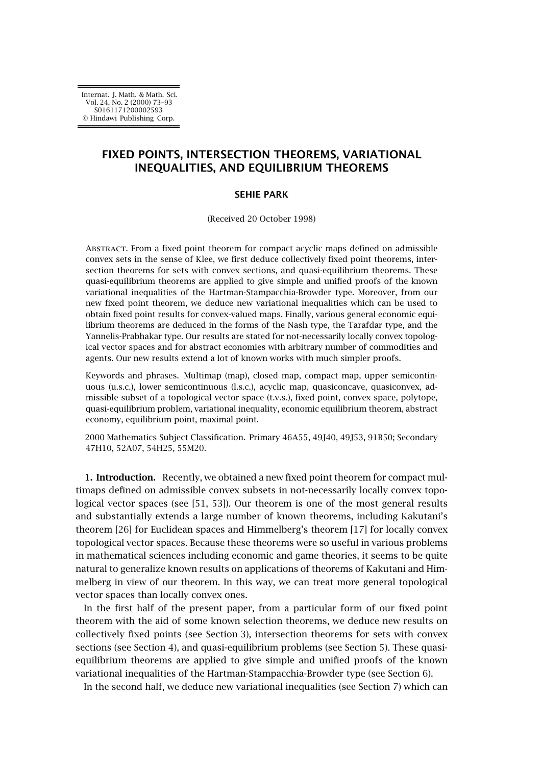# **FIXED POINTS, INTERSECTION THEOREMS, VARIATIONAL INEQUALITIES, AND EQUILIBRIUM THEOREMS**

## **SEHIE PARK**

(Received 20 October 1998)

Abstract. From a fixed point theorem for compact acyclic maps defined on admissible convex sets in the sense of Klee, we first deduce collectively fixed point theorems, intersection theorems for sets with convex sections, and quasi-equilibrium theorems. These quasi-equilibrium theorems are applied to give simple and unified proofs of the known variational inequalities of the Hartman-Stampacchia-Browder type. Moreover, from our new fixed point theorem, we deduce new variational inequalities which can be used to obtain fixed point results for convex-valued maps. Finally, various general economic equilibrium theorems are deduced in the forms of the Nash type, the Tarafdar type, and the Yannelis-Prabhakar type. Our results are stated for not-necessarily locally convex topological vector spaces and for abstract economies with arbitrary number of commodities and agents. Our new results extend a lot of known works with much simpler proofs.

Keywords and phrases. Multimap (map), closed map, compact map, upper semicontinuous (u.s.c.), lower semicontinuous (l.s.c.), acyclic map, quasiconcave, quasiconvex, admissible subset of a topological vector space (t.v.s.), fixed point, convex space, polytope, quasi-equilibrium problem, variational inequality, economic equilibrium theorem, abstract economy, equilibrium point, maximal point.

2000 Mathematics Subject Classification. Primary 46A55, 49J40, 49J53, 91B50; Secondary 47H10, 52A07, 54H25, 55M20.

**1. Introduction.** Recently, we obtained a new fixed point theorem for compact multimaps defined on admissible convex subsets in not-necessarily locally convex topological vector spaces (see [\[51, 53\]](#page-19-0)). Our theorem is one of the most general results and substantially extends a large number of known theorems, including Kakutani's theorem [\[26\]](#page-18-0) for Euclidean spaces and Himmelberg's theorem [\[17\]](#page-18-0) for locally convex topological vector spaces. Because these theorems were so useful in various problems in mathematical sciences including economic and game theories, it seems to be quite natural to generalize known results on applications of theorems of Kakutani and Himmelberg in view of our theorem. In this way, we can treat more general topological vector spaces than locally convex ones.

In the first half of the present paper, from a particular form of our fixed point theorem with the aid of some known selection theorems, we deduce new results on collectively fixed points (see [Section 3\)](#page-2-0), intersection theorems for sets with convex sections (see [Section 4\)](#page-4-0), and quasi-equilibrium problems (see [Section 5\)](#page-6-0). These quasiequilibrium theorems are applied to give simple and unified proofs of the known variational inequalities of the Hartman-Stampacchia-Browder type (see [Section 6\)](#page-7-0).

In the second half, we deduce new variational inequalities (see [Section 7\)](#page-9-0) which can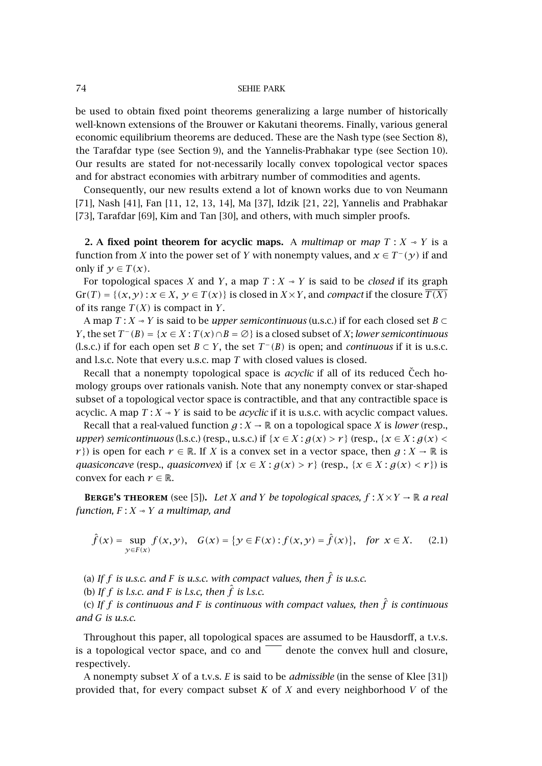be used to obtain fixed point theorems generalizing a large number of historically well-known extensions of the Brouwer or Kakutani theorems. Finally, various general economic equilibrium theorems are deduced. These are the Nash type (see [Section 8\)](#page-12-0), the Tarafdar type (see [Section 9\)](#page-14-0), and the Yannelis-Prabhakar type (see [Section 10\)](#page-15-0). Our results are stated for not-necessarily locally convex topological vector spaces and for abstract economies with arbitrary number of commodities and agents.

Consequently, our new results extend a lot of known works due to von Neumann [\[71\]](#page-20-0), Nash [\[41\]](#page-19-0), Fan [\[11,](#page-17-0) [12, 13, 14\]](#page-18-0), Ma [\[37\]](#page-19-0), Idzik [\[21, 22\]](#page-18-0), Yannelis and Prabhakar [\[73\]](#page-20-0), Tarafdar [\[69\]](#page-20-0), Kim and Tan [\[30\]](#page-18-0), and others, with much simpler proofs.

**2.** A fixed point theorem for acyclic maps. A *multimap* or *map*  $T : X \rightarrow Y$  is a function from *X* into the power set of *Y* with nonempty values, and  $x \in T^-(y)$  if and only if  $\gamma \in T(x)$ .

For topological spaces *X* and *Y*, a map  $T: X \rightarrow Y$  is said to be *closed* if its graph  $Gr(T) = \{(x, y) : x \in X, y \in T(x)\}$  is closed in  $X \times Y$ , and *compact* if the closure  $\overline{T(X)}$ of its range  $T(X)$  is compact in *Y*.

A map  $T: X \rightarrow Y$  is said to be *upper semicontinuous* (u.s.c.) if for each closed set  $B \subset$ *Y*, the set  $T^{-}(B) = \{x \in X : T(x) \cap B = \emptyset\}$  is a closed subset of *X*; *lower semicontinuous* (l.s.c.) if for each open set *B*  $\subset$  *Y*, the set *T* −*(B)* is open; and *continuous* if it is u.s.c. and l.s.c. Note that every u.s.c. map *T* with closed values is closed.

Recall that a nonempty topological space is *acyclic* if all of its reduced Cech homology groups over rationals vanish. Note that any nonempty convex or star-shaped subset of a topological vector space is contractible, and that any contractible space is acyclic. A map  $T: X \rightarrow Y$  is said to be *acyclic* if it is u.s.c. with acyclic compact values.

Recall that a real-valued function  $g: X \to \mathbb{R}$  on a topological space *X* is *lower* (resp., *upper*) *semicontinuous* (l.s.c.) (resp., u.s.c.) if  $\{x \in X : g(x) > r\}$  (resp.,  $\{x \in X : g(x) <$ *r*}) is open for each  $r \in \mathbb{R}$ . If *X* is a convex set in a vector space, then  $g: X \to \mathbb{R}$  is *quasiconcave* (resp., *quasiconvex*) if  $\{x \in X : g(x) > r\}$  (resp.,  $\{x \in X : g(x) < r\}$ ) is convex for each  $r \in \mathbb{R}$ .

**BERGE'S THEOREM** (see [\[5\]](#page-17-0)). Let *X* and *Y* be topological spaces,  $f: X \times Y \to \mathbb{R}$  a real *function,*  $F: X \rightarrow Y$  *a multimap, and* 

$$
\hat{f}(x) = \sup_{y \in F(x)} f(x, y), \quad G(x) = \{ y \in F(x) : f(x, y) = \hat{f}(x) \}, \quad \text{for } x \in X. \tag{2.1}
$$

(a) If  $f$  is u.s.c. and  $F$  is u.s.c. with compact values, then  $\hat{f}$  is u.s.c.

(b) If  $f$  is l.s.c. and  $F$  is l.s.c, then  $\hat{f}$  is l.s.c.

(c) If  $f$  is continuous and F is continuous with compact values, then  $\hat{f}$  is continuous *and G is u.s.c.*

Throughout this paper, all topological spaces are assumed to be Hausdorff, a t.v.s. is a topological vector space, and co and  $\overline{\phantom{a}}$  denote the convex hull and closure, respectively.

A nonempty subset *X* of a t.v.s. *E* is said to be *admissible* (in the sense of Klee [\[31\]](#page-18-0)) provided that, for every compact subset *K* of *X* and every neighborhood *V* of the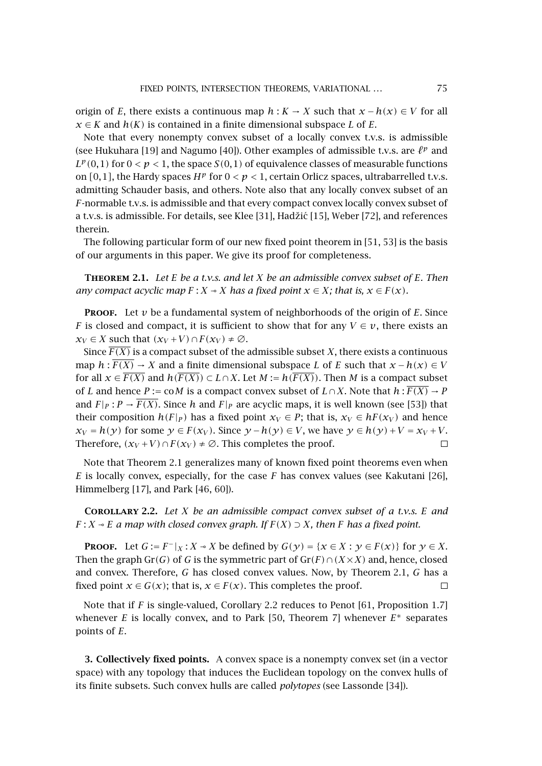<span id="page-2-0"></span>origin of *E*, there exists a continuous map  $h : K \to X$  such that  $x - h(x) \in V$  for all *x* ∈ *K* and *h*(*K*) is contained in a finite dimensional subspace *L* of *E*.

Note that every nonempty convex subset of a locally convex t.v.s. is admissible (see Hukuhara [\[19\]](#page-18-0) and Nagumo [\[40\]](#page-19-0)). Other examples of admissible t.v.s. are  $\ell^p$  and  $L^p(0,1)$  for  $0 < p < 1$ , the space  $S(0,1)$  of equivalence classes of measurable functions on  $[0,1]$ , the Hardy spaces  $H^p$  for  $0 < p < 1$ , certain Orlicz spaces, ultrabarrelled t.v.s. admitting Schauder basis, and others. Note also that any locally convex subset of an *F*-normable t.v.s. is admissible and that every compact convex locally convex subset of a t.v.s. is admissible. For details, see Klee [\[31\]](#page-18-0), Hadžić [\[15\]](#page-18-0), Weber [\[72\]](#page-20-0), and references therein.

The following particular form of our new fixed point theorem in [\[51, 53\]](#page-19-0) is the basis of our arguments in this paper. We give its proof for completeness.

**Theorem 2.1.** *Let E be a t.v.s. and let X be an admissible convex subset of E. Then any compact acyclic map*  $F: X \rightarrow X$  *has a fixed point*  $x \in X$ *; that is,*  $x \in F(x)$ *.* 

**PROOF.** Let  $\nu$  be a fundamental system of neighborhoods of the origin of  $E$ . Since *F* is closed and compact, it is sufficient to show that for any  $V \in v$ , there exists an  $x_V \in X$  such that  $(x_V + V) \cap F(x_V) \neq \emptyset$ .

Since  $\overline{F(X)}$  is a compact subset of the admissible subset *X*, there exists a continuous map  $h: F(X) \to X$  and a finite dimensional subspace *L* of *E* such that  $x - h(x) \in V$ for all  $x \in \overline{F(X)}$  and  $h(\overline{F(X)}) \subset L \cap X$ . Let  $M := h(\overline{F(X)})$ . Then M is a compact subset of *L* and hence *P* := co*M* is a compact convex subset of  $L \cap X$ . Note that  $h : F(X) \to P$ and  $F|_P : P \to \overline{F(X)}$ . Since *h* and  $F|_P$  are acyclic maps, it is well known (see [\[53\]](#page-19-0)) that their composition  $h(F|_P)$  has a fixed point  $x_V \in P$ ; that is,  $x_V \in hF(x_V)$  and hence  $x_V = h(\gamma)$  for some  $\gamma \in F(x_V)$ . Since  $\gamma - h(\gamma) \in V$ , we have  $\gamma \in h(\gamma) + V = x_V + V$ . Therefore,  $(x_V + V) \cap F(x_V) \neq \emptyset$ . This completes the proof.  $\Box$ 

Note that Theorem 2.1 generalizes many of known fixed point theorems even when *E* is locally convex, especially, for the case *F* has convex values (see Kakutani [\[26\]](#page-18-0), Himmelberg [\[17\]](#page-18-0), and Park [\[46,](#page-19-0) [60\]](#page-20-0)).

**Corollary 2.2.** *Let X be an admissible compact convex subset of a t.v.s. E and F* : *X*  $\sim$  *E a* map with closed convex graph. If  $F(X) \supseteq X$ , then *F* has a fixed point.

**PROOF.** Let  $G := F^{-}|_X : X \to X$  be defined by  $G(\gamma) = \{x \in X : \gamma \in F(\chi)\}$  for  $\gamma \in X$ . Then the graph Gr*(G)* of *G* is the symmetric part of Gr*(F)*∩*(X*×*X)* and, hence, closed and convex. Therefore, *G* has closed convex values. Now, by Theorem 2.1, *G* has a fixed point *x*  $\in$  *G(x)*; that is, *x*  $\in$  *F(x)*. This completes the proof.  $\Box$ 

Note that if *F* is single-valued, Corollary 2.2 reduces to Penot [\[61,](#page-20-0) Proposition 1.7] whenever *E* is locally convex, and to Park [\[50,](#page-19-0) Theorem 7] whenever *E*<sup>∗</sup> separates points of *E*.

**3. Collectively fixed points.** A convex space is a nonempty convex set (in a vector space) with any topology that induces the Euclidean topology on the convex hulls of its finite subsets. Such convex hulls are called *polytopes* (see Lassonde [\[34\]](#page-18-0)).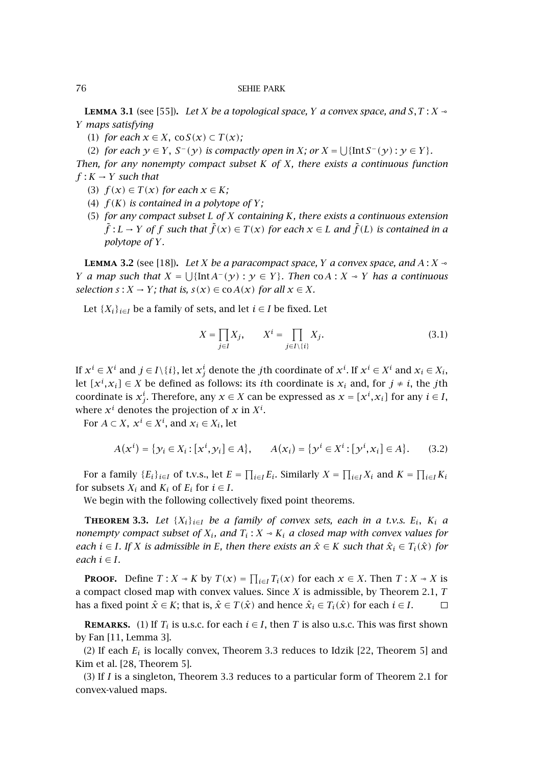**LEMMA** 3.1 (see [\[55\]](#page-19-0)). Let *X* be a topological space, *Y* a convex space, and *S*, *T* : *X*  $\sim$ *Y maps satisfying*

(1) *for each*  $x \in X$ , co $S(x) \subset T(x)$ ;

(2) *for each*  $\gamma \in Y$ ,  $S^{-}(\gamma)$  *is compactly open in X*; *or*  $X = \bigcup \{ \text{Int } S^{-}(\gamma) : \gamma \in Y \}$ *.* 

*Then, for any nonempty compact subset K of X, there exists a continuous function*  $f: K \to Y$  *such that* 

- (3)  $f(x) \in T(x)$  for each  $x \in K$ ;
- (4)  $f(K)$  *is contained in a polytope of*  $Y$ ;
- (5) *for any compact subset L of X containing K, there exists a continuous extension*  $\tilde{f}: L \to Y$  of  $f$  such that  $\tilde{f}(x) \in T(x)$  for each  $x \in L$  and  $\tilde{f}(L)$  is contained in a *polytope of Y.*

**LEMMA** 3.2 (see [\[18\]](#page-18-0)). Let *X* be a paracompact space, *Y* a convex space, and  $A: X \rightarrow$ *Y a map* such that  $X = \bigcup \{ \text{Int } A^{-}(y) : y \in Y \}$ . Then co $A : X \rightarrow Y$  *has a continuous selection*  $s: X \to Y$ *; that is,*  $s(x) \in \text{co } A(x)$  *for all*  $x \in X$ *.* 

Let  $\{X_i\}_{i\in I}$  be a family of sets, and let  $i \in I$  be fixed. Let

$$
X = \prod_{j \in I} X_j, \qquad X^i = \prod_{j \in I \setminus \{i\}} X_j.
$$
 (3.1)

If  $x^i \in X^i$  and  $j \in I \setminus \{i\}$ , let  $x^i_j$  denote the *j*th coordinate of  $x^i$ . If  $x^i \in X^i$  and  $x_i \in X_i$ , let  $[x^i, x_i] \in X$  be defined as follows: its *i*th coordinate is  $x_i$  and, for  $j \neq i$ , the *j*th coordinate is  $x_j^i$ . Therefore, any  $x \in X$  can be expressed as  $x = [x^i, x_i]$  for any  $i \in I$ , where  $x^i$  denotes the projection of  $x$  in  $X^i$ .

For  $A \subset X$ ,  $x^i \in X^i$ , and  $x_i \in X_i$ , let

$$
A(x^{i}) = \{ y_{i} \in X_{i} : [x^{i}, y_{i}] \in A \}, \qquad A(x_{i}) = \{ y^{i} \in X^{i} : [y^{i}, x_{i}] \in A \}.
$$
 (3.2)

For a family  ${E_i}_{i \in I}$  of t.v.s., let  $E = \prod_{i \in I} E_i$ . Similarly  $X = \prod_{i \in I} X_i$  and  $K = \prod_{i \in I} K_i$ for subsets  $X_i$  and  $K_i$  of  $E_i$  for  $i \in I$ .

We begin with the following collectively fixed point theorems.

**THEOREM** 3.3. Let  $\{X_i\}_{i\in I}$  be a family of convex sets, each in a t.v.s.  $E_i$ ,  $K_i$  a *nonempty compact subset of*  $X_i$ *, and*  $T_i$  :  $X \sim K_i$  *a closed map with convex values for each i* ∈ *I.* If *X is admissible in E, then there exists an*  $\hat{x}$  ∈ *K such that*  $\hat{x}_i$  ∈ *T*<sub>*i*</sub>( $\hat{x}$ ) for  $each$   $i \in I$ *.* 

**PROOF.** Define  $T : X \to K$  by  $T(x) = \prod_{i \in I} T_i(x)$  for each  $x \in X$ . Then  $T : X \to X$  is a compact closed map with convex values. Since *X* is admissible, by [Theorem 2.1,](#page-2-0) *T* has a fixed point  $\hat{x} \in K$ ; that is,  $\hat{x} \in T(\hat{x})$  and hence  $\hat{x}_i \in T_i(\hat{x})$  for each  $i \in I$ .  $\Box$ 

**REMARKS.** (1) If  $T_i$  is u.s.c. for each  $i \in I$ , then *T* is also u.s.c. This was first shown by Fan [\[11,](#page-17-0) Lemma 3].

(2) If each  $E_i$  is locally convex, Theorem 3.3 reduces to Idzik [\[22,](#page-18-0) Theorem 5] and Kim et al. [\[28,](#page-18-0) Theorem 5].

(3) If *I* is a singleton, Theorem 3.3 reduces to a particular form of [Theorem 2.1](#page-2-0) for convex-valued maps.

<span id="page-3-0"></span>
$$
^{76}
$$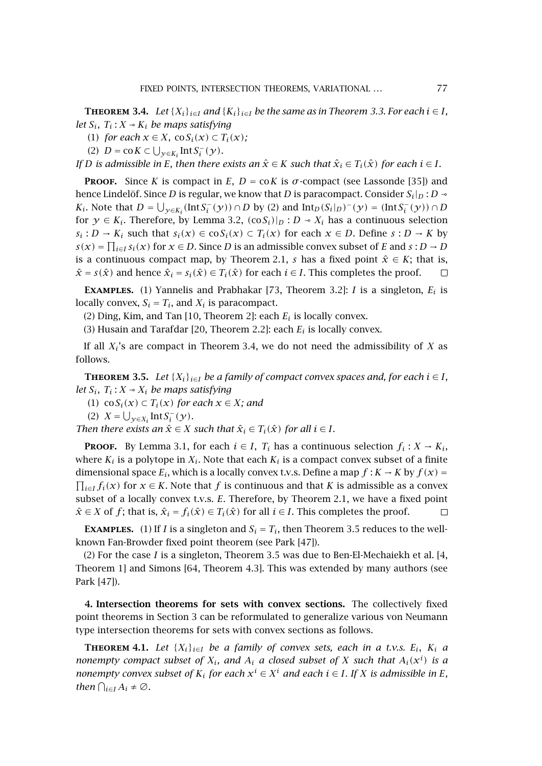<span id="page-4-0"></span>**THEOREM** 3.4. *Let*  $\{X_i\}_{i \in I}$  *and*  $\{K_i\}_{i \in I}$  *be the same as in [Theorem 3.3.](#page-3-0) For each*  $i \in I$ *, let*  $S_i$ ,  $T_i$  :  $X \sim K_i$  *be maps satisfying* 

- (1) *for each*  $x \in X$ , co $S_i(x) \subset T_i(x)$ *;*
- (2)  $D = \text{co } K \subset \bigcup_{\mathcal{Y} \in K_i} \text{Int } S_i^-(\mathcal{Y})$ *.*

*If D is admissible in E, then there exists an*  $\hat{x} \in K$  *such that*  $\hat{x}_i \in T_i(\hat{x})$  *for each*  $i \in I$ *.* 

**PROOF.** Since *K* is compact in *E*,  $D = \text{co } K$  is  $\sigma$ -compact (see Lassonde [\[35\]](#page-18-0)) and hence Lindelöf. Since *D* is regular, we know that *D* is paracompact. Consider *S*<sub>*i*</sub> | *D* → *K<sub>i</sub>*. Note that *D* =  $\bigcup_{y \in K_i} (IntS_i^-(y)) \cap D$  by (2) and  $Int_D(S_i|_D)^-(y) = (IntS_i^-(y)) \cap D$ for  $y \in K_i$ . Therefore, by [Lemma 3.2,](#page-3-0)  $(\cos i)|_D : D \rightarrow X_i$  has a continuous selection *s<sub>i</sub>* : *D* → *K<sub>i</sub>* such that  $s_i(x) \in \cos(i)$  ⊂  $T_i(x)$  for each  $x \in D$ . Define  $s : D \to K$  by  $s(x) = \prod_{i \in I} s_i(x)$  for  $x \in D$ . Since *D* is an admissible convex subset of *E* and  $s : D \to D$ is a continuous compact map, by [Theorem 2.1,](#page-2-0) *s* has a fixed point  $\hat{x} \in K$ ; that is,  $\hat{x}$  = *s*( $\hat{x}$ ) and hence  $\hat{x}_i$  = *s<sub>i</sub>*( $\hat{x}$ ) ∈ *T<sub>i</sub>*( $\hat{x}$ ) for each *i* ∈ *I*. This completes the proof.  $\Box$ 

**EXAMPLES.** (1) Yannelis and Prabhakar [\[73,](#page-20-0) Theorem 3.2]: *I* is a singleton,  $E_i$  is locally convex,  $S_i = T_i$ , and  $X_i$  is paracompact.

(2) Ding, Kim, and Tan  $[10,$  Theorem 2]: each  $E_i$  is locally convex.

(3) Husain and Tarafdar [\[20,](#page-18-0) Theorem 2.2]: each *Ei* is locally convex.

If all *Xi*'s are compact in Theorem 3.4, we do not need the admissibility of *X* as follows.

**THEOREM** 3.5. *Let*  $\{X_i\}_{i \in I}$  *be a family of compact convex spaces and, for each*  $i \in I$ *, let*  $S_i$ ,  $T_i$  :  $X \sim X_i$  *be maps satisfying* 

(1) co $S_i(x)$  ⊂  $T_i(x)$  *for each*  $x \in X$ *; and* 

(2)  $X = \bigcup_{y \in X_i} \text{Int} S_i^-(y)$ *.* 

*Then there exists an*  $\hat{x} \in X$  *such that*  $\hat{x}_i \in T_i(\hat{x})$  *for all*  $i \in I$ *.* 

**PROOF.** By [Lemma 3.1,](#page-3-0) for each  $i \in I$ ,  $T_i$  has a continuous selection  $f_i : X \to K_i$ , where  $K_i$  is a polytope in  $X_i$ . Note that each  $K_i$  is a compact convex subset of a finite dimensional space  $E_i$ , which is a locally convex t.v.s. Define a map  $f: K \to K$  by  $f(x) =$  $\prod_{i \in I} f_i(x)$  *for*  $x \in K$ *. Note that <i>f* is continuous and that *K* is admissible as a convex subset of a locally convex t.v.s. *E*. Therefore, by [Theorem 2.1,](#page-2-0) we have a fixed point  $\hat{x} \in X$  of *f*; that is,  $\hat{x}_i = f_i(\hat{x}) \in T_i(\hat{x})$  for all  $i \in I$ . This completes the proof.  $\Box$ 

**EXAMPLES.** (1) If *I* is a singleton and  $S_i = T_i$ , then Theorem 3.5 reduces to the wellknown Fan-Browder fixed point theorem (see Park [\[47\]](#page-19-0)).

(2) For the case *I* is a singleton, Theorem 3.5 was due to Ben-El-Mechaiekh et al. [\[4,](#page-17-0) Theorem 1] and Simons [\[64,](#page-20-0) Theorem 4.3]. This was extended by many authors (see Park [\[47\]](#page-19-0)).

**4. Intersection theorems for sets with convex sections.** The collectively fixed point theorems in [Section 3](#page-2-0) can be reformulated to generalize various von Neumann type intersection theorems for sets with convex sections as follows.

**THEOREM** 4.1. Let  $\{X_i\}_{i\in I}$  be a family of convex sets, each in a t.v.s.  $E_i$ ,  $K_i$  a *nonempty compact subset of*  $X_i$ *, and*  $A_i$  *a closed subset of*  $X$  *such that*  $A_i(x^i)$  *is a nonempty convex subset of*  $K_i$  *for each*  $x^i \in X^i$  *and each*  $i \in I$ *. If X is admissible in E*, *then*  $\bigcap_{i \in I} A_i \neq \emptyset$ *.*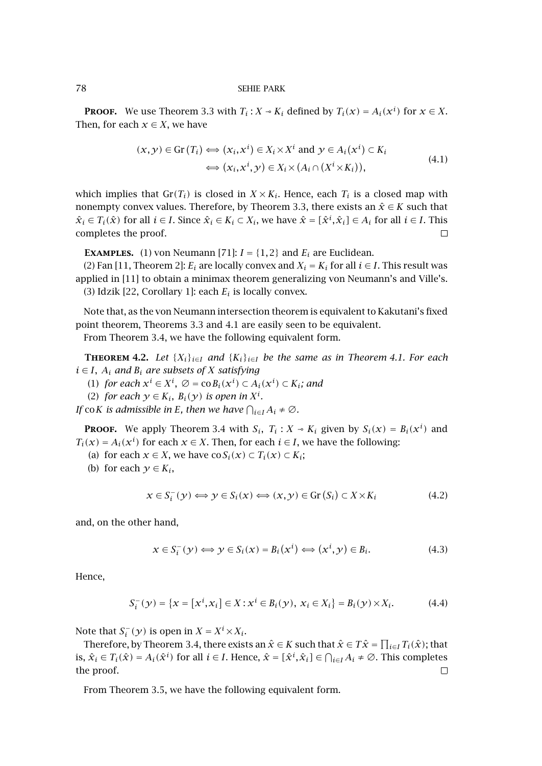**PROOF.** We use [Theorem 3.3](#page-3-0) with  $T_i$ :  $X \sim K_i$  defined by  $T_i(x) = A_i(x^i)$  for  $x \in X$ . Then, for each  $x \in X$ , we have

$$
(x, y) \in \text{Gr}(T_i) \iff (x_i, x^i) \in X_i \times X^i \text{ and } y \in A_i(x^i) \subset K_i
$$
  

$$
\iff (x_i, x^i, y) \in X_i \times (A_i \cap (X^i \times K_i)),
$$
\n
$$
(4.1)
$$

which implies that  $\text{Gr}(T_i)$  is closed in  $X \times K_i$ . Hence, each  $T_i$  is a closed map with nonempty convex values. Therefore, by [Theorem 3.3,](#page-3-0) there exists an  $\hat{x} \in K$  such that  $\hat{x}_i \in T_i(\hat{x})$  for all  $i \in I$ . Since  $\hat{x}_i \in K_i \subset X_i$ , we have  $\hat{x} = [\hat{x}^i, \hat{x}_i] \in A_i$  for all  $i \in I$ . This completes the proof.  $\Box$ 

**EXAMPLES.** (1) von Neumann [\[71\]](#page-20-0):  $I = \{1, 2\}$  and  $E_i$  are Euclidean.

(2) Fan [\[11,](#page-17-0) Theorem 2]:  $E_i$  are locally convex and  $X_i = K_i$  for all  $i \in I$ . This result was applied in [\[11\]](#page-17-0) to obtain a minimax theorem generalizing von Neumann's and Ville's. (3) Idzik [\[22,](#page-18-0) Corollary 1]: each *Ei* is locally convex.

Note that, as the von Neumann intersection theorem is equivalent to Kakutani's fixed point theorem, Theorems [3.3](#page-3-0) and [4.1](#page-4-0) are easily seen to be equivalent.

From [Theorem 3.4,](#page-4-0) we have the following equivalent form.

**THEOREM 4.2.** Let  $\{X_i\}_{i\in I}$  and  $\{K_i\}_{i\in I}$  be the same as in [Theorem 4.1.](#page-4-0) For each  $i \in I$ ,  $A_i$  *and*  $B_i$  *are subsets of X satisfying* 

- (1) *for each*  $x^i$  ∈  $X^i$ ,  $\emptyset$  = co $B_i(x^i)$  ⊂  $A_i(x^i)$  ⊂  $K_i$ *; and*
- (2) *for each*  $y \in K_i$ ,  $B_i(y)$  *is open in*  $X^i$ *.*

*If*  $\cot K$  *is admissible in E*, then we have  $\bigcap_{i\in I}A_i\neq\emptyset$ .

**PROOF.** We apply [Theorem 3.4](#page-4-0) with  $S_i$ ,  $T_i$ :  $X \sim K_i$  given by  $S_i(x) = B_i(x^i)$  and  $T_i(x) = A_i(x^i)$  for each  $x \in X$ . Then, for each  $i \in I$ , we have the following:

- (a) for each  $x \in X$ , we have  $\cos(i(x) \subset T_i(x) \subset K_i$ ;
- (b) for each  $y \in K_i$ ,

$$
x \in S_i^-(y) \Longleftrightarrow y \in S_i(x) \Longleftrightarrow (x, y) \in \text{Gr}(S_i) \subset X \times K_i \tag{4.2}
$$

and, on the other hand,

$$
x \in S_i^-(y) \Longleftrightarrow y \in S_i(x) = B_i(x^i) \Longleftrightarrow (x^i, y) \in B_i.
$$
\n(4.3)

Hence,

$$
S_i^-(y) = \{x = [x^i, x_i] \in X : x^i \in B_i(y), x_i \in X_i\} = B_i(y) \times X_i.
$$
 (4.4)

Note that  $S_i^-(y)$  is open in  $X = X^i \times X_i$ .

Therefore, by [Theorem 3.4,](#page-4-0) there exists an  $\hat{x} \in K$  such that  $\hat{x} \in T\hat{x} = \prod_{i \in I} T_i(\hat{x})$ ; that is,  $\hat{x}_i \in T_i(\hat{x}) = A_i(\hat{x}^i)$  for all  $i \in I$ . Hence,  $\hat{x} = [\hat{x}^i, \hat{x}_i] \in \bigcap_{i \in I} A_i \neq \emptyset$ . This completes the proof.  $\Box$ 

From [Theorem 3.5,](#page-4-0) we have the following equivalent form.

<span id="page-5-0"></span>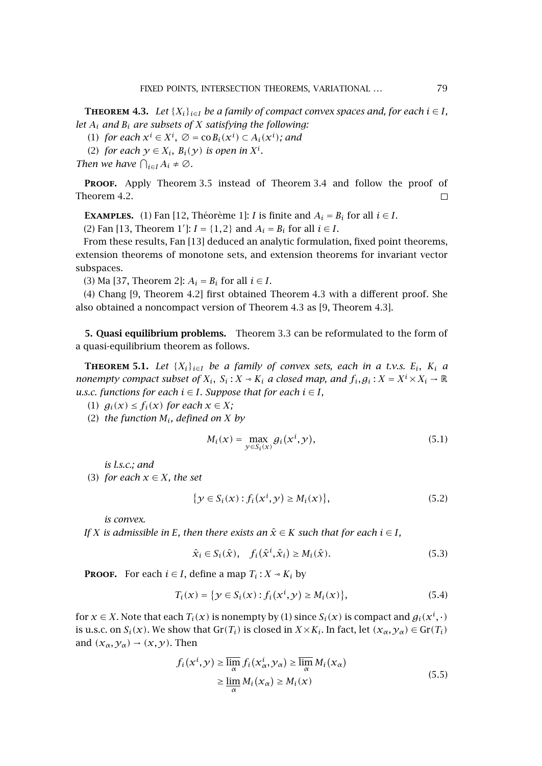<span id="page-6-0"></span>**THEOREM 4.3.** *Let*  $\{X_i\}_{i \in I}$  *be a family of compact convex spaces and, for each*  $i \in I$ *, let Ai and Bi are subsets of X satisfying the following:*

(1) *for each*  $x^i \in X^i$ ,  $\varnothing = \text{co} B_i(x^i) \subset A_i(x^i)$ ; and

(2) *for each*  $y \in X_i$ ,  $B_i(y)$  *is open in*  $X^i$ .

*Then we have*  $\bigcap_{i \in I} A_i \neq \emptyset$ *.* 

**PROOF.** Apply [Theorem 3.5](#page-4-0) instead of [Theorem 3.4](#page-4-0) and follow the proof of [Theorem 4.2.](#page-5-0)  $\Box$ 

**EXAMPLES.** (1) Fan [\[12,](#page-18-0) Théorème 1]: *I* is finite and  $A_i = B_i$  for all  $i \in I$ .

(2) Fan [\[13,](#page-18-0) Theorem 1']:  $I = \{1, 2\}$  and  $A_i = B_i$  for all  $i \in I$ .

From these results, Fan [\[13\]](#page-18-0) deduced an analytic formulation, fixed point theorems, extension theorems of monotone sets, and extension theorems for invariant vector subspaces.

(3) Ma [\[37,](#page-19-0) Theorem 2]:  $A_i = B_i$  for all  $i \in I$ .

(4) Chang [\[9,](#page-17-0) Theorem 4.2] first obtained Theorem 4.3 with a different proof. She also obtained a noncompact version of Theorem 4.3 as [\[9,](#page-17-0) Theorem 4.3].

**5. Quasi equilibrium problems.** [Theorem 3.3](#page-3-0) can be reformulated to the form of a quasi-equilibrium theorem as follows.

**THEOREM** 5.1. Let  $\{X_i\}_{i\in I}$  be a family of convex sets, each in a t.v.s.  $E_i$ ,  $K_i$  a *nonempty compact subset of*  $X_i$ ,  $S_i$ :  $X \sim K_i$  *a closed map, and*  $f_i$ ,  $g_i$ :  $X = X^i \times X_i \to \mathbb{R}$ *u.s.c. functions for each*  $i \in I$ *. Suppose that for each*  $i \in I$ *,* 

(1)  $g_i(x) \leq f_i(x)$  for each  $x \in X$ ;

(2) *the function Mi, defined on X by*

$$
M_i(x) = \max_{\mathcal{Y} \in S_i(x)} g_i(x^i, \mathcal{Y}), \tag{5.1}
$$

*is l.s.c.; and*

(3) *for each*  $x \in X$ *, the set* 

$$
\{y \in S_i(x) : f_i(x^i, y) \ge M_i(x)\},\tag{5.2}
$$

*is convex.*

*If X* is admissible in *E*, then there exists an  $\hat{x} \in K$  such that for each  $i \in I$ ,

$$
\hat{\mathbf{x}}_i \in S_i(\hat{\mathbf{x}}), \quad f_i(\hat{\mathbf{x}}^i, \hat{\mathbf{x}}_i) \ge M_i(\hat{\mathbf{x}}). \tag{5.3}
$$

**PROOF.** For each  $i \in I$ , define a map  $T_i : X \rightarrow K_i$  by

$$
T_i(x) = \{ y \in S_i(x) : f_i(x^i, y) \ge M_i(x) \},
$$
\n(5.4)

for  $x \in X$ . Note that each  $T_i(x)$  is nonempty by (1) since  $S_i(x)$  is compact and  $g_i(x^i, \cdot)$ is u.s.c. on  $S_i(x)$ . We show that  $Gr(T_i)$  is closed in  $X \times K_i$ . In fact, let  $(x_\alpha, y_\alpha) \in Gr(T_i)$ and  $(x_{\alpha},y_{\alpha}) \rightarrow (x,y)$ . Then

$$
f_i(x^i, y) \ge \overline{\lim_{\alpha}} f_i(x^i_{\alpha}, y_{\alpha}) \ge \overline{\lim_{\alpha}} M_i(x_{\alpha})
$$
  
 
$$
\ge \underline{\lim_{\alpha}} M_i(x_{\alpha}) \ge M_i(x)
$$
 (5.5)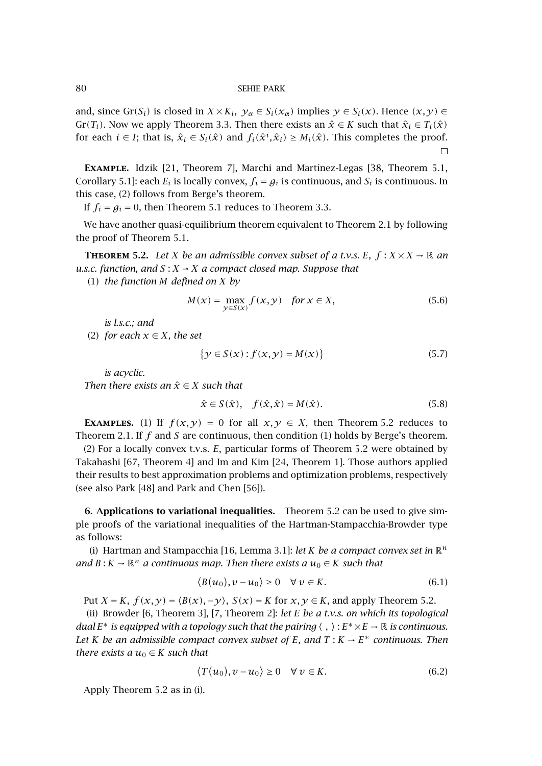<span id="page-7-0"></span>and, since  $Gr(S_i)$  is closed in  $X \times K_i$ ,  $\gamma_\alpha \in S_i(\mathcal{X}_\alpha)$  implies  $\gamma \in S_i(\mathcal{X})$ . Hence  $(\mathcal{X}, \mathcal{Y}) \in$ Gr( $T_i$ ). Now we apply [Theorem 3.3.](#page-3-0) Then there exists an  $\hat{x} \in K$  such that  $\hat{x}_i \in T_i(\hat{x})$ for each  $i \in I$ ; that is,  $\hat{x}_i \in S_i(\hat{x})$  and  $f_i(\hat{x}^i, \hat{x}_i) \geq M_i(\hat{x})$ . This completes the proof.  $\Box$ 

**Example.** Idzik [\[21,](#page-18-0) Theorem 7], Marchi and Martínez-Legas [\[38,](#page-19-0) Theorem 5.1, Corollary 5.1]: each  $E_i$  is locally convex,  $f_i = g_i$  is continuous, and  $S_i$  is continuous. In this case, (2) follows from Berge's theorem.

If  $f_i = g_i = 0$ , then [Theorem 5.1](#page-6-0) reduces to [Theorem 3.3.](#page-3-0)

We have another quasi-equilibrium theorem equivalent to [Theorem 2.1](#page-2-0) by following the proof of [Theorem 5.1.](#page-6-0)

**THEOREM** 5.2. Let *X* be an admissible convex subset of a t.v.s. E,  $f: X \times X \to \mathbb{R}$  and *u.s.c. function, and*  $S: X \rightarrow X$  *a compact closed map. Suppose that* 

(1) *the function M defined on X by*

$$
M(x) = \max_{y \in S(x)} f(x, y) \quad \text{for } x \in X,
$$
 (5.6)

*is l.s.c.; and*

(2) *for each*  $x \in X$ *, the set* 

$$
\{y \in S(x) : f(x, y) = M(x)\}\tag{5.7}
$$

*is acyclic.*

*Then there exists an*  $\hat{x} \in X$  *such that* 

$$
\hat{x} \in S(\hat{x}), \quad f(\hat{x}, \hat{x}) = M(\hat{x}). \tag{5.8}
$$

**EXAMPLES.** (1) If  $f(x, y) = 0$  for all  $x, y \in X$ , then Theorem 5.2 reduces to [Theorem 2.1.](#page-2-0) If *f* and *S* are continuous, then condition (1) holds by Berge's theorem.

(2) For a locally convex t.v.s. *E*, particular forms of Theorem 5.2 were obtained by Takahashi [\[67,](#page-20-0) Theorem 4] and Im and Kim [\[24,](#page-18-0) Theorem 1]. Those authors applied their results to best approximation problems and optimization problems, respectively (see also Park [\[48\]](#page-19-0) and Park and Chen [\[56\]](#page-19-0)).

**6. Applications to variational inequalities.** Theorem 5.2 can be used to give simple proofs of the variational inequalities of the Hartman-Stampacchia-Browder type as follows:

(i) Hartman and Stampacchia [\[16,](#page-18-0) Lemma 3.1]: *let K be a compact convex set in* R*<sup>n</sup> and*  $B: K \to \mathbb{R}^n$  *a* continuous map. Then there exists a  $u_0 \in K$  such that

$$
\langle B(u_0), v - u_0 \rangle \ge 0 \quad \forall \ v \in K. \tag{6.1}
$$

Put *X* = *K*,  $f(x, y) = \langle B(x), -y \rangle$ ,  $S(x) = K$  for  $x, y \in K$ , and apply Theorem 5.2.

(ii) Browder [\[6,](#page-17-0) Theorem 3], [\[7,](#page-17-0) Theorem 2]: *let E be a t.v.s. on which its topological dual*  $E^*$  *is equipped with a topology such that the pairing*  $\langle , \rangle : E^* \times E \to \mathbb{R}$  *is continuous. Let K be an admissible compact convex subset of E*, and  $T: K \to E^*$  *continuous. Then there exists a*  $u_0 \in K$  *such that* 

$$
\langle T(u_0), v - u_0 \rangle \ge 0 \quad \forall \, v \in K. \tag{6.2}
$$

Apply Theorem 5.2 as in (i).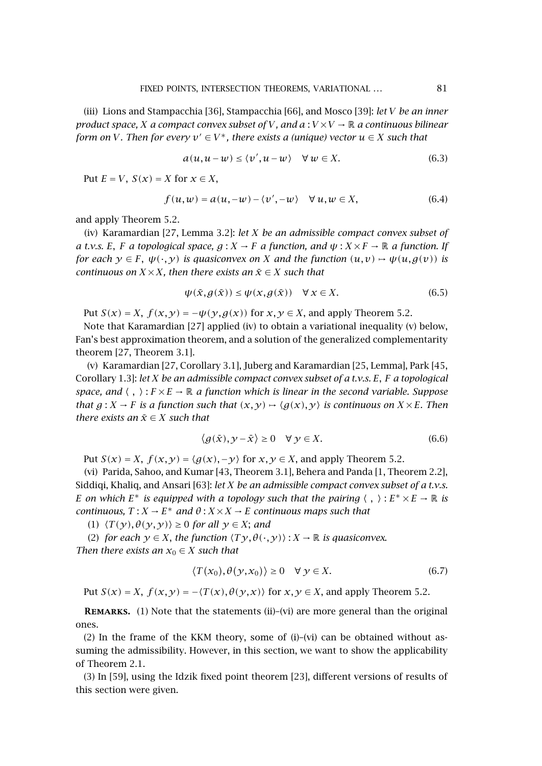(iii) Lions and Stampacchia [\[36\]](#page-19-0), Stampacchia [\[66\]](#page-20-0), and Mosco [\[39\]](#page-19-0): *let V be an inner product space, X a compact convex subset of V, and*  $a: V \times V \rightarrow \mathbb{R}$  *a continuous bilinear form on V. Then for every*  $v' \in V^*$ , there exists a (unique) vector  $u \in X$  such that

$$
a(u, u - w) \le \langle v', u - w \rangle \quad \forall \, w \in X. \tag{6.3}
$$

Put  $E = V$ ,  $S(x) = X$  for  $x \in X$ ,

$$
f(u, w) = a(u, -w) - \langle v', -w \rangle \quad \forall u, w \in X,
$$
\n(6.4)

and apply [Theorem 5.2.](#page-7-0)

(iv) Karamardian [\[27,](#page-18-0) Lemma 3.2]: *let X be an admissible compact convex subset of a t.v.s. E, F a topological space,*  $g: X \to F$  *a* function, and  $\psi: X \times F \to \mathbb{R}$  *a* function. If *for each*  $\gamma \in F$ ,  $\psi(\cdot, \gamma)$  *is quasiconvex on X and the function*  $(u, v) \rightarrow \psi(u, g(v))$  *is continuous on*  $X \times X$ *, then there exists an*  $\bar{x} \in X$  *such that* 

$$
\psi(\bar{x}, g(\bar{x})) \le \psi(x, g(\bar{x})) \quad \forall x \in X.
$$
\n(6.5)

Put  $S(x) = X$ ,  $f(x, y) = -\psi(y, g(x))$  for  $x, y \in X$ , and apply [Theorem 5.2.](#page-7-0)

Note that Karamardian [\[27\]](#page-18-0) applied (iv) to obtain a variational inequality (v) below, Fan's best approximation theorem, and a solution of the generalized complementarity theorem [\[27,](#page-18-0) Theorem 3.1].

(v) Karamardian [\[27,](#page-18-0) Corollary 3.1], Juberg and Karamardian [\[25,](#page-18-0) Lemma], Park [\[45,](#page-19-0) Corollary 1.3]: *let X be an admissible compact convex subset of a t.v.s. E, F a topological space, and*  $\langle , \rangle$ :  $F \times E \rightarrow \mathbb{R}$  *a function which is linear in the second variable. Suppose that*  $g: X \to F$  *is a function such that*  $(x, y) \mapsto \langle g(x), y \rangle$  *is continuous on*  $X \times E$ *. Then there exists an*  $\bar{x} \in X$  *such that* 

$$
\langle g(\bar{x}), \mathcal{Y} - \bar{x} \rangle \ge 0 \quad \forall \mathcal{Y} \in X. \tag{6.6}
$$

Put  $S(x) = X$ ,  $f(x, y) = \langle g(x), -y \rangle$  for  $x, y \in X$ , and apply [Theorem 5.2.](#page-7-0)

(vi) Parida, Sahoo, and Kumar [\[43,](#page-19-0) Theorem 3.1], Behera and Panda [\[1,](#page-17-0) Theorem 2.2], Siddiqi, Khaliq, and Ansari [\[63\]](#page-20-0): *let X be an admissible compact convex subset of a t.v.s. E on which*  $E^*$  *is equipped with a topology such that the pairing*  $\langle , \rangle : E^* \times E \to \mathbb{R}$  *is continuous,*  $T: X \to E^*$  *and*  $\theta: X \times X \to E$  *continuous maps such that* 

 $(T(y), \theta(y, y)) \ge 0$  *for all*  $y \in X$ ; *and* 

(2) *for each*  $y \in X$ , *the function*  $\langle Ty, \theta(\cdot, y) \rangle : X \to \mathbb{R}$  *is quasiconvex. Then there exists an*  $x_0 \in X$  *such that* 

$$
\langle T(x_0), \theta(y, x_0) \rangle \ge 0 \quad \forall \ y \in X. \tag{6.7}
$$

Put  $S(x) = X$ ,  $f(x, y) = -\langle T(x), \theta(y, x) \rangle$  for  $x, y \in X$ , and apply [Theorem 5.2.](#page-7-0)

**REMARKS.** (1) Note that the statements (ii)–(vi) are more general than the original ones.

(2) In the frame of the KKM theory, some of  $(i)-(vi)$  can be obtained without assuming the admissibility. However, in this section, we want to show the applicability of [Theorem 2.1.](#page-2-0)

(3) In [\[59\]](#page-20-0), using the Idzik fixed point theorem [\[23\]](#page-18-0), different versions of results of this section were given.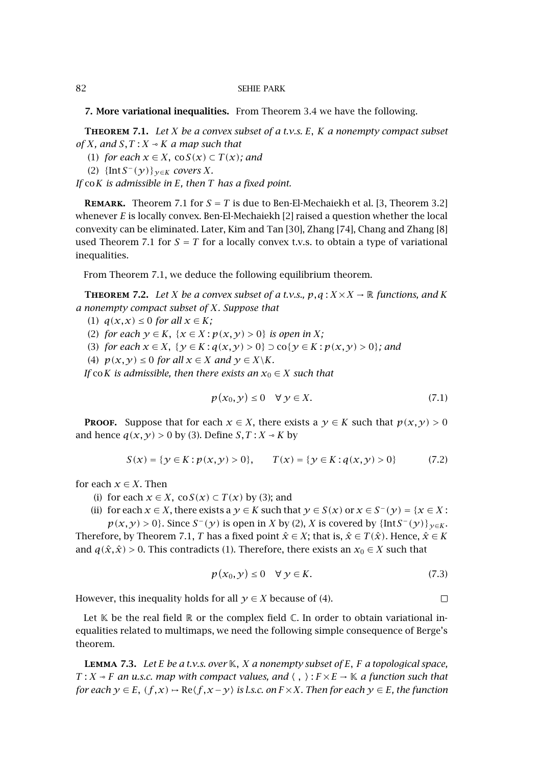**7. More variational inequalities.** From [Theorem 3.4](#page-4-0) we have the following.

**Theorem 7.1.** *Let X be a convex subset of a t.v.s. E, K a nonempty compact subset of X, and S,T* : *X*  $\sim$  *K a map such that* 

- (1) *for each*  $x \in X$ ,  $\cos(x) \subset T(x)$ *; and*
- (2) {Int*S*−*(y)*}*y*∈*<sup>K</sup> covers X.*

*If* co*K is admissible in E, then T has a fixed point.*

**REMARK.** Theorem 7.1 for  $S = T$  is due to Ben-El-Mechaiekh et al. [\[3,](#page-17-0) Theorem 3.2] whenever *E* is locally convex. Ben-El-Mechaiekh [\[2\]](#page-17-0) raised a question whether the local convexity can be eliminated. Later, Kim and Tan [\[30\]](#page-18-0), Zhang [\[74\]](#page-20-0), Chang and Zhang [\[8\]](#page-17-0) used Theorem 7.1 for  $S = T$  for a locally convex t.v.s. to obtain a type of variational inequalities.

From Theorem 7.1, we deduce the following equilibrium theorem.

**THEOREM** 7.2. Let *X* be a convex subset of a t.v.s.,  $p, q: X \times X \rightarrow \mathbb{R}$  functions, and *K a nonempty compact subset of X. Suppose that*

- (1)  $q(x,x) \leq 0$  *for all*  $x \in K$ ;
- (2) *for each*  $y \in K$ ,  $\{x \in X : p(x, y) > 0\}$  *is open in X;*

(3) *for each*  $x \in X$ ,  $\{y \in K : q(x, y) > 0\} \supseteq c_0\{y \in K : p(x, y) > 0\}$ ; and

(4)  $p(x, y) \le 0$  *for all*  $x \in X$  *and*  $y \in X \setminus K$ *.* 

*If* co*K is admissible, then there exists an*  $x_0 \in X$  *such that* 

$$
p(x_0, y) \le 0 \quad \forall \ y \in X. \tag{7.1}
$$

**PROOF.** Suppose that for each  $x \in X$ , there exists a  $\gamma \in K$  such that  $p(x, y) > 0$ and hence  $q(x, y) > 0$  by (3). Define  $S, T : X \rightarrow K$  by

$$
S(x) = \{ y \in K : p(x, y) > 0 \}, \qquad T(x) = \{ y \in K : q(x, y) > 0 \}
$$
(7.2)

for each  $x \in X$ . Then

(i) for each  $x \in X$ , co $S(x) \subset T(x)$  by (3); and

(ii) for each 
$$
x \in X
$$
, there exists a  $y \in K$  such that  $y \in S(x)$  or  $x \in S^-(y) = \{x \in X : p(x, y) > 0\}$ . Since  $S^-(y)$  is open in  $X$  by (2),  $X$  is covered by  $\{\text{Int}S^-(y)\}_{y \in K}$ .

Therefore, by Theorem 7.1, *T* has a fixed point  $\hat{x} \in X$ ; that is,  $\hat{x} \in T(\hat{x})$ . Hence,  $\hat{x} \in K$ and  $q(\hat{x}, \hat{x}) > 0$ . This contradicts (1). Therefore, there exists an  $x_0 \in X$  such that

$$
p(x_0, y) \le 0 \quad \forall \ y \in K. \tag{7.3}
$$

 $\Box$ 

However, this inequality holds for all  $y \in X$  because of (4).

Let  $K$  be the real field  $R$  or the complex field  $C$ . In order to obtain variational inequalities related to multimaps, we need the following simple consequence of Berge's theorem.

**Lemma 7.3.** *Let E be a t.v.s. over* K*, X a nonempty subset of E, F a topological space, T* : *X*  $\rightarrow$  *F* an u.s.c. map with compact values, and  $\langle , \rangle$  :  $F \times E \rightarrow \mathbb{K}$  a function such that *for each*  $y \in E$ ,  $(f, x) \mapsto \text{Re}\langle f, x - y \rangle$  *is l.s.c. on*  $F \times X$ *. Then for each*  $y \in E$ *, the function* 

<span id="page-9-0"></span>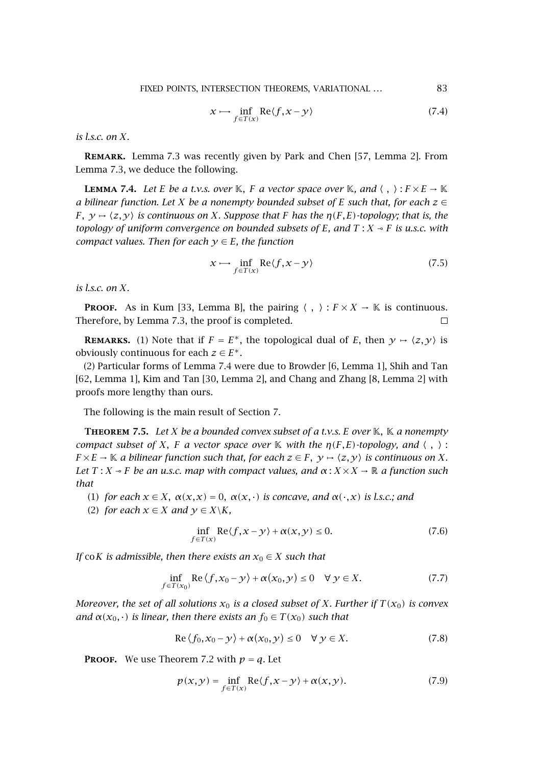$$
x \mapsto \inf_{f \in T(x)} \text{Re}\langle f, x - y \rangle \tag{7.4}
$$

<span id="page-10-0"></span>*is l.s.c. on X.*

**Remark.** [Lemma 7.3](#page-9-0) was recently given by Park and Chen [\[57,](#page-19-0) Lemma 2]. From [Lemma 7.3,](#page-9-0) we deduce the following.

**LEMMA** 7.4. Let *E* be a t.v.s. over K, *F* a vector space over K, and  $\langle , \rangle : F \times E \to \mathbb{K}$ *a* bilinear function. Let *X* be a nonempty bounded subset of *E* such that, for each  $z \in$ *F,*  $\gamma \mapsto \langle z, \gamma \rangle$  *is continuous on X. Suppose that F has the n*(*F, E)-topology; that is, the topology of uniform convergence on bounded subsets of*  $E$ *, and*  $T : X \rightarrow F$  *is u.s.c. with compact values. Then for each*  $y \in E$ *, the function* 

$$
x \mapsto \inf_{f \in T(x)} \text{Re}\langle f, x - y \rangle \tag{7.5}
$$

*is l.s.c. on X.*

**PROOF.** As in Kum [\[33,](#page-18-0) Lemma B], the pairing  $\langle , \rangle : F \times X \to \mathbb{K}$  is continuous. Therefore, by [Lemma 7.3,](#page-9-0) the proof is completed.  $\Box$ 

**REMARKS.** (1) Note that if  $F = E^*$ , the topological dual of *E*, then  $y \mapsto \langle z, y \rangle$  is obviously continuous for each  $z \in E^*$ .

(2) Particular forms of Lemma 7.4 were due to Browder [\[6,](#page-17-0) Lemma 1], Shih and Tan [\[62,](#page-20-0) Lemma 1], Kim and Tan [\[30,](#page-18-0) Lemma 2], and Chang and Zhang [\[8,](#page-17-0) Lemma 2] with proofs more lengthy than ours.

The following is the main result of [Section 7.](#page-9-0)

**Theorem 7.5.** *Let X be a bounded convex subset of a t.v.s. E over* K*,* K *a nonempty compact subset of X, F a vector space over* K *with the*  $\eta(F,E)$ *-topology, and*  $\langle , \rangle$ :  $F \times E \to \mathbb{K}$  *a bilinear function such that, for each*  $z \in F$ ,  $y \mapsto \langle z, y \rangle$  *is continuous on X. Let*  $T: X \rightarrow F$  *be an u.s.c. map with compact values, and*  $\alpha: X \times X \rightarrow \mathbb{R}$  *a function such that*

- (1) *for each*  $x \in X$ ,  $\alpha(x, x) = 0$ ,  $\alpha(x, \cdot)$  *is concave, and*  $\alpha(\cdot, x)$  *is l.s.c.; and*
- (2) *for each*  $x \in X$  *and*  $y \in X \backslash K$ *,*

$$
\inf_{f \in T(x)} \text{Re}\langle f, x - y \rangle + \alpha(x, y) \le 0. \tag{7.6}
$$

*If* co*K is admissible, then there exists an*  $x_0 \in X$  *such that* 

$$
\inf_{f \in T(x_0)} \operatorname{Re} \langle f, x_0 - y \rangle + \alpha(x_0, y) \le 0 \quad \forall \ y \in X. \tag{7.7}
$$

*Moreover, the set of all solutions*  $x_0$  *is a closed subset of X. Further if*  $T(x_0)$  *is convex and*  $\alpha(x_0, \cdot)$  *is linear, then there exists an*  $f_0 \in T(x_0)$  *such that* 

$$
\operatorname{Re}\left\langle f_0, x_0 - y \right\rangle + \alpha(x_0, y) \le 0 \quad \forall \ y \in X. \tag{7.8}
$$

**PROOF.** We use [Theorem 7.2](#page-9-0) with  $p = q$ . Let

$$
p(x, y) = \inf_{f \in T(x)} \text{Re}\langle f, x - y \rangle + \alpha(x, y). \tag{7.9}
$$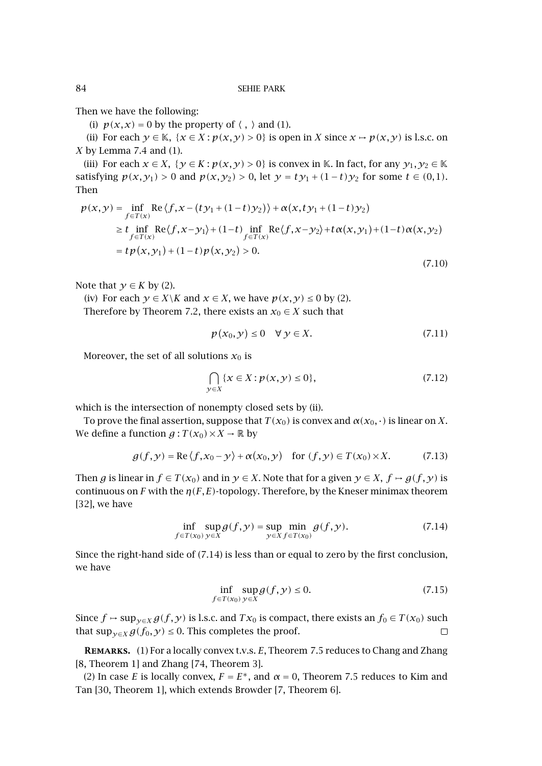Then we have the following:

(i)  $p(x, x) = 0$  by the property of  $\langle , \rangle$  and (1).

(ii) For each  $y \in \mathbb{K}$ ,  $\{x \in X : p(x, y) > 0\}$  is open in *X* since  $x \mapsto p(x, y)$  is l.s.c. on *X* by [Lemma 7.4](#page-10-0) and (1).

(iii) For each  $x \in X$ ,  $\{y \in K : p(x, y) > 0\}$  is convex in K. In fact, for any  $y_1, y_2 \in K$ satisfying *p*(*x*, *y*<sub>1</sub>) > 0 and *p*(*x*, *y*<sub>2</sub>) > 0, let *y* = *ty*<sub>1</sub> + (1−*t*)*y*<sub>2</sub> for some *t* ∈ (0,1). Then

$$
p(x,y) = \inf_{f \in T(x)} \text{Re}\left\{f, x - (ty_1 + (1-t)y_2)\right\} + \alpha(x, ty_1 + (1-t)y_2)
$$
  
\n
$$
\geq t \inf_{f \in T(x)} \text{Re}\left\{f, x - y_1\right\} + (1-t) \inf_{f \in T(x)} \text{Re}\left\{f, x - y_2\right\} + t\alpha(x, y_1) + (1-t)\alpha(x, y_2)
$$
  
\n
$$
= tp(x, y_1) + (1-t)p(x, y_2) > 0.
$$

Note that  $y \in K$  by (2).

(iv) For each  $y \in X \backslash K$  and  $x \in X$ , we have  $p(x, y) \le 0$  by (2). Therefore by [Theorem 7.2,](#page-9-0) there exists an  $x_0 \in X$  such that

$$
p(x_0, y) \le 0 \quad \forall \ y \in X. \tag{7.11}
$$

(7.10)

Moreover, the set of all solutions  $x_0$  is

$$
\bigcap_{y \in X} \{x \in X : p(x, y) \le 0\},\tag{7.12}
$$

which is the intersection of nonempty closed sets by (ii).

To prove the final assertion, suppose that  $T(x_0)$  is convex and  $\alpha(x_0, \cdot)$  is linear on *X*. We define a function  $g: T(x_0) \times X \to \mathbb{R}$  by

$$
g(f, y) = \text{Re}\left\langle f, x_0 - y \right\rangle + \alpha(x_0, y) \quad \text{for } (f, y) \in T(x_0) \times X. \tag{7.13}
$$

Then *g* is linear in  $f \in T(x_0)$  and in  $y \in X$ . Note that for a given  $y \in X$ ,  $f \mapsto g(f, y)$  is continuous on *F* with the  $\eta(F, E)$ -topology. Therefore, by the Kneser minimax theorem [\[32\]](#page-18-0), we have

$$
\inf_{f \in T(x_0)} \sup_{y \in X} g(f, y) = \sup_{y \in X} \min_{f \in T(x_0)} g(f, y). \tag{7.14}
$$

Since the right-hand side of (7.14) is less than or equal to zero by the first conclusion, we have

$$
\inf_{f \in T(x_0)} \sup_{y \in X} g(f, y) \le 0.
$$
\n(7.15)

Since  $f \mapsto \sup_{\gamma \in X} g(f, \gamma)$  is l.s.c. and  $Tx_0$  is compact, there exists an  $f_0 \in T(x_0)$  such that  $\sup_{\gamma \in X} g(f_0, \gamma) \leq 0$ . This completes the proof.  $\Box$ 

**Remarks.** (1) For a locally convex t.v.s. *E*, [Theorem 7.5](#page-10-0) reduces to Chang and Zhang [\[8,](#page-17-0) Theorem 1] and Zhang [\[74,](#page-20-0) Theorem 3].

(2) In case *E* is locally convex,  $F = E^*$ , and  $\alpha = 0$ , [Theorem 7.5](#page-10-0) reduces to Kim and Tan [\[30,](#page-18-0) Theorem 1], which extends Browder [\[7,](#page-17-0) Theorem 6].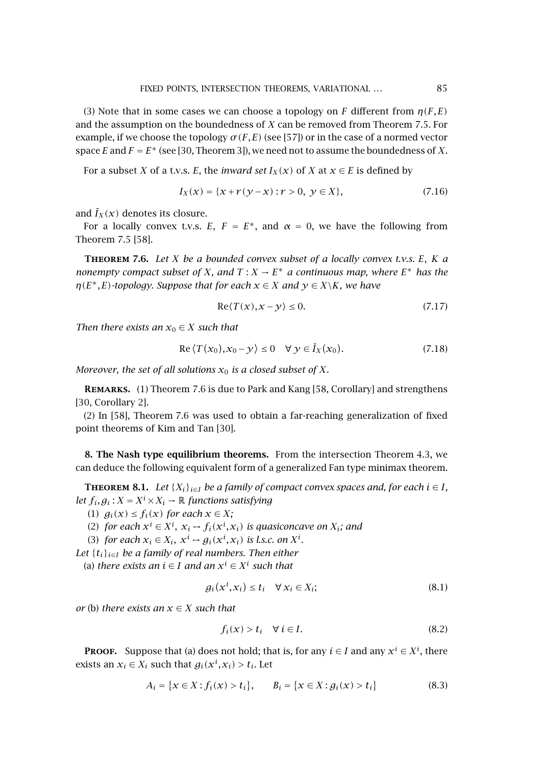<span id="page-12-0"></span>(3) Note that in some cases we can choose a topology on *F* different from  $\eta(F,E)$ and the assumption on the boundedness of *X* can be removed from [Theorem 7.5.](#page-10-0) For example, if we choose the topology  $\sigma(F, E)$  (see [\[57\]](#page-19-0)) or in the case of a normed vector space *E* and  $F = E^*$  (see [\[30,](#page-18-0) Theorem 3]), we need not to assume the boundedness of *X*.

For a subset *X* of a t.v.s. *E*, the *inward set*  $I_X(x)$  of *X* at  $x \in E$  is defined by

$$
I_X(x) = \{x + r(y - x) : r > 0, \ y \in X\},\tag{7.16}
$$

and  $\bar{I}_X(x)$  denotes its closure.

For a locally convex t.v.s. *E*,  $F = E^*$ , and  $\alpha = 0$ , we have the following from [Theorem 7.5](#page-10-0) [\[58\]](#page-19-0).

**Theorem 7.6.** *Let X be a bounded convex subset of a locally convex t.v.s. E, K a nonempty compact subset of X, and*  $T: X \to E^*$  *a continuous map, where*  $E^*$  *has the n*( $E^*$ , $E$ )*-topology.* Suppose that for each  $x \in X$  and  $y \in X\backslash K$ , we have

$$
\operatorname{Re}\langle T(x), x - y \rangle \le 0. \tag{7.17}
$$

*Then there exists an*  $x_0 \in X$  *such that* 

$$
\operatorname{Re}\left\langle T(x_0), x_0 - y \right\rangle \le 0 \quad \forall \ y \in \overline{I}_X(x_0). \tag{7.18}
$$

*Moreover, the set of all solutions*  $x_0$  *is a closed subset of*  $X$ *.* 

**Remarks.** (1) Theorem 7.6 is due to Park and Kang [\[58,](#page-19-0) Corollary] and strengthens [\[30,](#page-18-0) Corollary 2].

(2) In [\[58\]](#page-19-0), Theorem 7.6 was used to obtain a far-reaching generalization of fixed point theorems of Kim and Tan [\[30\]](#page-18-0).

**8. The Nash type equilibrium theorems.** From the intersection [Theorem 4.3,](#page-6-0) we can deduce the following equivalent form of a generalized Fan type minimax theorem.

**THEOREM 8.1.** *Let*  $\{X_i\}_{i \in I}$  *be a family of compact convex spaces and, for each*  $i \in I$ *, let*  $f_i, g_i: X = X^i \times X_i \rightarrow \mathbb{R}$  *functions satisfying* 

(1)  $g_i(x) \leq f_i(x)$  *for each*  $x \in X$ *;* 

(2) *for each*  $x^i$  ∈  $X^i$ ,  $x_i$  →  $f_i(x^i, x_i)$  *is quasiconcave on*  $X_i$ *; and* 

(3) *for each*  $x_i \in X_i$ ,  $x^i \mapsto g_i(x^i, x_i)$  *is l.s.c. on*  $X^i$ *.* 

*Let*  $\{t_i\}_{i\in I}$  *be a family of real numbers. Then either* 

(a) *there exists an i* ∈ *I and an x<sup>i</sup>* ∈ *X<sup>i</sup> such that*

$$
g_i(x^i, x_i) \le t_i \quad \forall \, x_i \in X_i; \tag{8.1}
$$

*or* (b) *there exists an*  $x \in X$  *such that* 

$$
f_i(x) > t_i \quad \forall \ i \in I. \tag{8.2}
$$

**Proof.** Suppose that (a) does not hold; that is, for any  $i \in I$  and any  $x^i \in X^i$ , there exists an  $x_i \in X_i$  such that  $g_i(x^i, x_i) > t_i$ . Let

$$
A_i = \{x \in X : f_i(x) > t_i\}, \qquad B_i = \{x \in X : g_i(x) > t_i\}
$$
(8.3)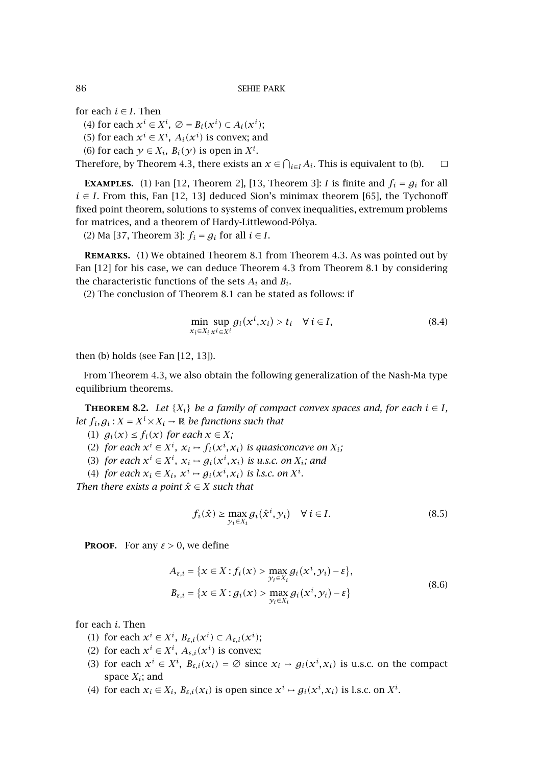for each  $i \in I$ . Then

(4) for each  $x^i \in X^i$ ,  $\varnothing = B_i(x^i) \subset A_i(x^i)$ ;

(5) for each  $x^i \in X^i$ ,  $A_i(x^i)$  is convex; and

(6) for each  $y \in X_i$ ,  $B_i(y)$  is open in  $X^i$ .

Therefore, by [Theorem 4.3,](#page-6-0) there exists an  $x \in \bigcap_{i \in I} A_i$ . This is equivalent to (b).  $\Box$ 

**EXAMPLES.** (1) Fan [\[12,](#page-18-0) Theorem 2], [\[13,](#page-18-0) Theorem 3]: *I* is finite and  $f_i = g_i$  for all  $i \in I$ . From this, Fan [\[12, 13\]](#page-18-0) deduced Sion's minimax theorem [\[65\]](#page-20-0), the Tychonoff fixed point theorem, solutions to systems of convex inequalities, extremum problems for matrices, and a theorem of Hardy-Littlewood-Pólya.

(2) Ma [\[37,](#page-19-0) Theorem 3]:  $f_i = g_i$  for all  $i \in I$ .

**Remarks.** (1) We obtained [Theorem 8.1](#page-12-0) from [Theorem 4.3.](#page-6-0) As was pointed out by Fan [\[12\]](#page-18-0) for his case, we can deduce [Theorem 4.3](#page-6-0) from [Theorem 8.1](#page-12-0) by considering the characteristic functions of the sets  $A_i$  and  $B_i$ .

(2) The conclusion of [Theorem 8.1](#page-12-0) can be stated as follows: if

$$
\min_{x_i \in X_i} \sup_{x^i \in X^i} g_i(x^i, x_i) > t_i \quad \forall \ i \in I,\tag{8.4}
$$

then (b) holds (see Fan [\[12, 13\]](#page-18-0)).

From [Theorem 4.3,](#page-6-0) we also obtain the following generalization of the Nash-Ma type equilibrium theorems.

**THEOREM 8.2.** *Let*  $\{X_i\}$  *be a family of compact convex spaces and, for each*  $i \in I$ *, let*  $f_i, g_i: X = X^i \times X_i \rightarrow \mathbb{R}$  *be functions such that* 

- (1)  $g_i(x) \leq f_i(x)$  for each  $x \in X$ ;
- (2) *for each*  $x^i \in X^i$ ,  $x_i \mapsto f_i(x^i, x_i)$  *is quasiconcave on*  $X_i$ ;
- (3) *for each*  $x^i \in X^i$ ,  $x_i \mapsto g_i(x^i, x_i)$  *is u.s.c. on*  $X_i$ *; and*
- (4) *for each*  $x_i \in X_i$ ,  $x^i \mapsto g_i(x^i, x_i)$  *is l.s.c. on*  $X^i$ *.*

*Then there exists a point*  $\hat{x} \in X$  *such that* 

$$
f_i(\hat{x}) \ge \max_{\mathcal{Y}_i \in X_i} g_i(\hat{x}^i, \mathcal{Y}_i) \quad \forall \ i \in I.
$$
 (8.5)

**PROOF.** For any  $\varepsilon > 0$ , we define

$$
A_{\varepsilon,i} = \{x \in X : f_i(x) > \max_{y_i \in X_i} g_i(x^i, y_i) - \varepsilon\},
$$
  
\n
$$
B_{\varepsilon,i} = \{x \in X : g_i(x) > \max_{y_i \in X_i} g_i(x^i, y_i) - \varepsilon\}
$$
\n(8.6)

for each *i*. Then

- (1) for each  $x^i \in X^i$ ,  $B_{\varepsilon,i}(x^i) \subset A_{\varepsilon,i}(x^i)$ ;
- (2) for each  $x^i \in X^i$ ,  $A_{\varepsilon,i}(x^i)$  is convex;
- (3) for each  $x^i \in X^i$ ,  $B_{\varepsilon,i}(x_i) = \emptyset$  since  $x_i \mapsto g_i(x^i, x_i)$  is u.s.c. on the compact space *Xi*; and
- (4) for each  $x_i \in X_i$ ,  $B_{\varepsilon,i}(x_i)$  is open since  $x^i \mapsto g_i(x^i, x_i)$  is l.s.c. on  $X^i$ .

<span id="page-13-0"></span>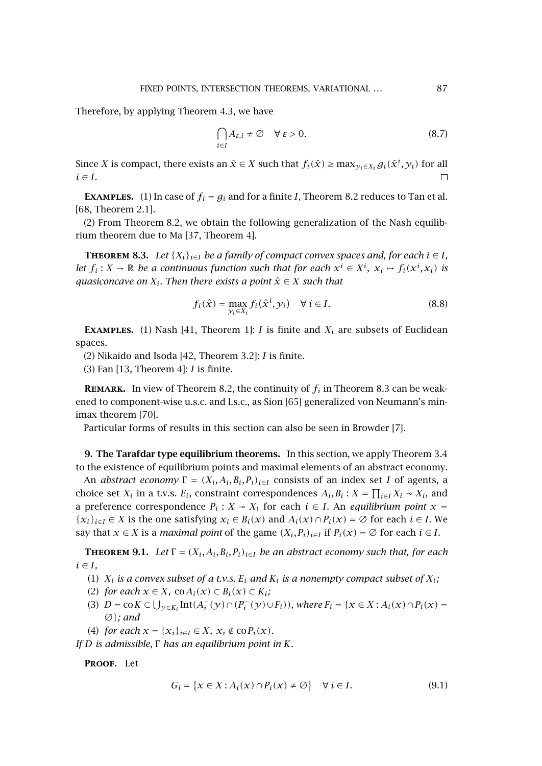<span id="page-14-0"></span>Therefore, by applying [Theorem 4.3,](#page-6-0) we have

$$
\bigcap_{i \in I} A_{\varepsilon,i} \neq \emptyset \quad \forall \, \varepsilon > 0. \tag{8.7}
$$

Since *X* is compact, there exists an  $\hat{x} \in X$  such that  $f_i(\hat{x}) \ge \max_{y_i \in X_i} g_i(\hat{x}^i, y_i)$  for all  $i \in I$ .  $\Box$ 

**EXAMPLES.** (1) In case of  $f_i = g_i$  and for a finite *I*, [Theorem 8.2](#page-13-0) reduces to Tan et al. [\[68,](#page-20-0) Theorem 2.1].

(2) From [Theorem 8.2,](#page-13-0) we obtain the following generalization of the Nash equilibrium theorem due to Ma [\[37,](#page-19-0) Theorem 4].

**THEOREM 8.3.** *Let*  $\{X_i\}_{i \in I}$  *be a family of compact convex spaces and, for each*  $i \in I$ *, let*  $f_i: X \to \mathbb{R}$  *be a continuous function such that for each*  $x^i \in X^i$ ,  $x_i \mapsto f_i(x^i, x_i)$  *is guasiconcave on*  $X_i$ *. Then there exists a point*  $\hat{x} \in X$  *such that* 

$$
f_i(\hat{\mathbf{x}}) = \max_{\mathcal{Y}_i \in X_i} f_i(\hat{\mathbf{x}}^i, \mathcal{Y}_i) \quad \forall \ i \in I.
$$
 (8.8)

**EXAMPLES.** (1) Nash [\[41,](#page-19-0) Theorem 1]: *I* is finite and  $X_i$  are subsets of Euclidean spaces.

(2) Nikaido and Isoda [\[42,](#page-19-0) Theorem 3.2]: *I* is finite.

(3) Fan [\[13,](#page-18-0) Theorem 4]: *I* is finite.

**REMARK.** In view of [Theorem 8.2,](#page-13-0) the continuity of  $f_i$  in Theorem 8.3 can be weakened to component-wise u.s.c. and l.s.c., as Sion [\[65\]](#page-20-0) generalized von Neumann's minimax theorem [\[70\]](#page-20-0).

Particular forms of results in this section can also be seen in Browder [\[7\]](#page-17-0).

**9. The Tarafdar type equilibrium theorems.** In this section, we apply [Theorem 3.4](#page-4-0) to the existence of equilibrium points and maximal elements of an abstract economy.

An *abstract economy*  $\Gamma = (X_i, A_i, B_i, P_i)_{i \in I}$  consists of an index set *I* of agents, a choice set  $X_i$  in a t.v.s.  $E_i$ , constraint correspondences  $A_i, B_i : X = \prod_{i \in I} X_i \rightarrow X_i$ , and a preference correspondence  $P_i$ :  $X \sim X_i$  for each  $i \in I$ . An *equilibrium point*  $x =$  ${x_i}_{i \in I} \in X$  is the one satisfying  $x_i \in B_i(x)$  and  $A_i(x) \cap P_i(x) = \emptyset$  for each  $i \in I$ . We say that *x* ∈ *X* is a *maximal point* of the game  $(X_i, P_i)_{i \in I}$  if  $P_i(x) = \emptyset$  for each  $i \in I$ .

**THEOREM 9.1.** *Let*  $\Gamma = (X_i, A_i, B_i, P_i)_{i \in I}$  *be an abstract economy such that, for each*  $i \in I$ ,

- (1)  $X_i$  *is a convex subset of a t.v.s.*  $E_i$  *and*  $K_i$  *is a nonempty compact subset of*  $X_i$ ;
- (2) *for each*  $x \in X$ , co $A_i(x) \subset B_i(x) \subset K_i$ ;
- (3)  $D = \text{co } K \subset \bigcup_{y \in K_i} \text{Int}(A_i^-(y) \cap (P_i^-(y) \cup F_i)),$  where  $F_i = \{x \in X : A_i(x) \cap P_i(x) = 0\}$ ∅}*; and*
- (4) *for each*  $x = \{x_i\}_{i \in I} \in X$ ,  $x_i \notin \text{co}P_i(x)$ *.*

*If D is admissible,* Γ *has an equilibrium point in K.*

**Proof.** Let

$$
G_i = \{x \in X : A_i(x) \cap P_i(x) \neq \emptyset\} \quad \forall \ i \in I. \tag{9.1}
$$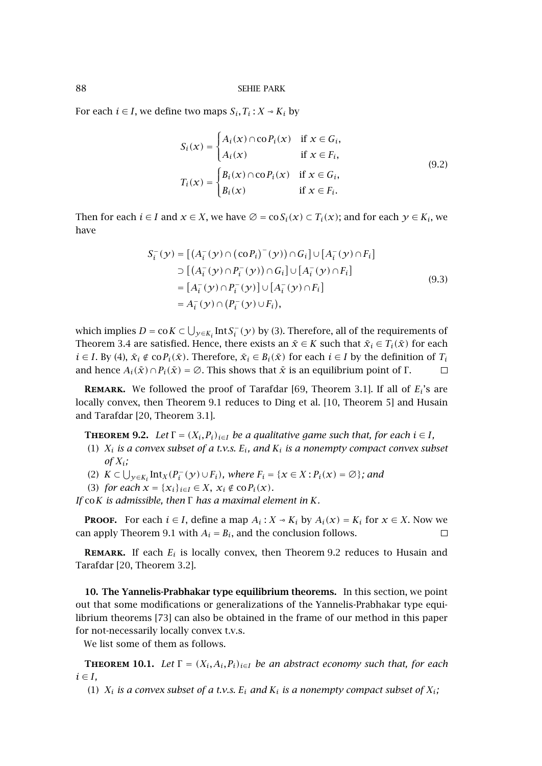<span id="page-15-0"></span>For each *i*  $\in$  *I*, we define two maps  $S_i$ ,  $T_i$  :  $X \sim K_i$  by

$$
S_i(x) = \begin{cases} A_i(x) \cap \text{co } P_i(x) & \text{if } x \in G_i, \\ A_i(x) & \text{if } x \in F_i, \end{cases}
$$
  

$$
T_i(x) = \begin{cases} B_i(x) \cap \text{co } P_i(x) & \text{if } x \in G_i, \\ B_i(x) & \text{if } x \in F_i. \end{cases}
$$
  
(9.2)

Then for each  $i \in I$  and  $x \in X$ , we have  $\emptyset = \cos(i(x) \subset T_i(x))$ ; and for each  $y \in K_i$ , we have

$$
S_i^-(y) = [(A_i^-(y) \cap (coP_i)^-(y)) \cap G_i] \cup [A_i^-(y) \cap F_i]
$$
  
\n
$$
\supset [(A_i^-(y) \cap P_i^-(y)) \cap G_i] \cup [A_i^-(y) \cap F_i]
$$
  
\n
$$
= [A_i^-(y) \cap P_i^-(y)] \cup [A_i^-(y) \cap F_i]
$$
  
\n
$$
= A_i^-(y) \cap (P_i^-(y) \cup F_i),
$$
  
\n(9.3)

which implies  $D = \text{co } K \subset \bigcup_{y \in K_i} \text{Int } S_i^-(y)$  by (3). Therefore, all of the requirements of [Theorem 3.4](#page-4-0) are satisfied. Hence, there exists an  $\tilde{x} \in K$  such that  $\tilde{x}_i \in T_i(\tilde{x})$  for each *i* ∈ *I*. By (4),  $\bar{x}_i \notin \text{co} P_i(\bar{x})$ . Therefore,  $\bar{x}_i \in B_i(\bar{x})$  for each *i* ∈ *I* by the definition of  $T_i$ and hence  $A_i(\bar{x}) \cap P_i(\bar{x}) = \emptyset$ . This shows that  $\bar{x}$  is an equilibrium point of Γ.  $\Box$ 

**Remark.** We followed the proof of Tarafdar [\[69,](#page-20-0) Theorem 3.1]. If all of *Ei*'s are locally convex, then [Theorem 9.1](#page-14-0) reduces to Ding et al. [\[10,](#page-17-0) Theorem 5] and Husain and Tarafdar [\[20,](#page-18-0) Theorem 3.1].

**THEOREM** 9.2. Let  $\Gamma = (X_i, P_i)_{i \in I}$  be a qualitative game such that, for each  $i \in I$ ,

- (1) *Xi is a convex subset of a t.v.s. Ei, and Ki is a nonempty compact convex subset*  $of X_i$ ;
- (2)  $K ⊂ \bigcup_{y \in K_i} Int_X(P_i^- (y) \cup F_i)$ , where  $F_i = \{x \in X : P_i(x) = \emptyset\}$ ; and
- (3) *for each*  $x = \{x_i\}_{i \in I} \in X$ ,  $x_i \notin \text{co} P_i(x)$ *.*

*If* co*K is admissible, then* Γ *has a maximal element in K.*

**PROOF.** For each  $i \in I$ , define a map  $A_i : X \to K_i$  by  $A_i(x) = K_i$  for  $x \in X$ . Now we can apply [Theorem 9.1](#page-14-0) with  $A_i = B_i$ , and the conclusion follows.  $\Box$ 

**REMARK.** If each  $E_i$  is locally convex, then Theorem 9.2 reduces to Husain and Tarafdar [\[20,](#page-18-0) Theorem 3.2].

**10. The Yannelis-Prabhakar type equilibrium theorems.** In this section, we point out that some modifications or generalizations of the Yannelis-Prabhakar type equilibrium theorems [\[73\]](#page-20-0) can also be obtained in the frame of our method in this paper for not-necessarily locally convex t.v.s.

We list some of them as follows.

**THEOREM 10.1.** *Let*  $\Gamma = (X_i, A_i, P_i)_{i \in I}$  *be an abstract economy such that, for each*  $i \in I$ ,

(1)  $X_i$  *is a convex subset of a t.v.s.*  $E_i$  *and*  $K_i$  *is a nonempty compact subset of*  $X_i$ ;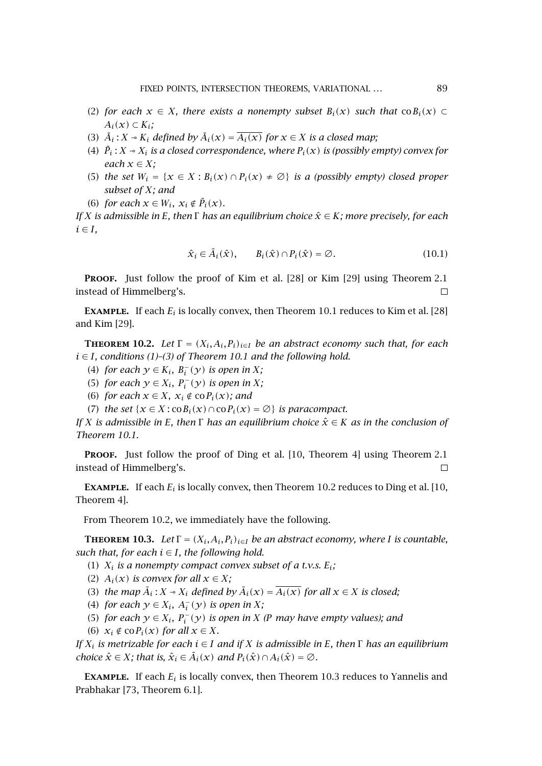- <span id="page-16-0"></span>(2) *for each*  $x \in X$ *, there exists a nonempty subset*  $B_i(x)$  *such that* co $B_i(x)$  ⊂  $A_i(x) \subset K_i$ ;
- (3)  $\bar{A}_i$ :  $X \sim K_i$  *defined by*  $\bar{A}_i(x) = \bar{A}_i(x)$  *for*  $x \in X$  *is a closed map*;
- (4)  $\bar{P}_i$  :  $X \rightarrow X_i$  is a closed correspondence, where  $P_i(x)$  is (possibly empty) convex for *each*  $x \in X$ ;
- (5) *the set*  $W_i = \{x \in X : B_i(x) \cap P_i(x) \neq \emptyset\}$  *is a (possibly empty) closed proper subset of X; and*
- (6) *for each*  $x \in W_i$ ,  $x_i \notin \overline{P}_i(x)$ *.*

*If X is admissible in E, then* Γ *has an equilibrium choice x*ˆ ∈ *K; more precisely, for each*  $i \in I$ ,

$$
\hat{\mathbf{x}}_i \in \bar{A}_i(\hat{\mathbf{x}}), \qquad B_i(\hat{\mathbf{x}}) \cap P_i(\hat{\mathbf{x}}) = \varnothing. \tag{10.1}
$$

**PROOF.** Just follow the proof of Kim et al. [\[28\]](#page-18-0) or Kim [\[29\]](#page-18-0) using [Theorem 2.1](#page-2-0) instead of Himmelberg's.  $\Box$ 

**EXAMPLE.** If each  $E_i$  is locally convex, then [Theorem 10.1](#page-15-0) reduces to Kim et al. [\[28\]](#page-18-0) and Kim [\[29\]](#page-18-0).

**THEOREM 10.2.** *Let*  $\Gamma = (X_i, A_i, P_i)_{i \in I}$  *be an abstract economy such that, for each i* ∈ *I, conditions (1)–(3) of [Theorem 10.1](#page-15-0) and the following hold.*

- (4) *for each*  $y \in K_i$ ,  $B_i^-(y)$  *is open in*  $X$ ;
- (5) *for each*  $y \in X_i$ ,  $P_i^-(y)$  *is open in*  $X$ ;
- (6) *for each*  $x \in X$ *,*  $x_i \notin \text{co } P_i(x)$ *; and*
- (7) *the set* { $x \in X$  :  $\text{co } B_i(x) \cap \text{co } P_i(x) = \emptyset$ } *is paracompact.*

*If X is admissible in E, then*  $\Gamma$  *has an equilibrium choice*  $\hat{x} \in K$  *as in the conclusion of [Theorem 10.1.](#page-15-0)*

PROOF. Just follow the proof of Ding et al. [\[10,](#page-17-0) Theorem 4] using [Theorem 2.1](#page-2-0) instead of Himmelberg's.

**EXAMPLE.** If each  $E_i$  is locally convex, then Theorem 10.2 reduces to Ding et al. [\[10,](#page-17-0) Theorem 4].

From Theorem 10.2, we immediately have the following.

**THEOREM 10.3.** *Let*  $\Gamma = (X_i, A_i, P_i)_{i \in I}$  *be an abstract economy, where I is countable, such that, for each*  $i \in I$ *, the following hold.* 

- (1)  $X_i$  *is a nonempty compact convex subset of a t.v.s.*  $E_i$ ;
- (2)  $A_i(x)$  *is convex for all*  $x \in X$ ;
- (3) *the map*  $\overline{A}_i$ :  $X \rightarrow X_i$  *defined by*  $\overline{A}_i(x) = \overline{A_i(x)}$  *for all*  $x \in X$  *is closed;*
- (4) *for each*  $y \in X_i$ ,  $A_i^-(y)$  *is open in*  $X_i$
- (5) *for each*  $y \in X_i$ ,  $P_i^-(y)$  *is open in*  $X$  *(P may have empty values); and*
- (6)  $x_i \notin \text{co} P_i(x)$  *for all*  $x \in X$ *.*

*If Xi is metrizable for each i* ∈ *I and if X is admissible in E, then* Γ *has an equilibrium choice*  $\hat{x} \in X$ *;* that is,  $\hat{x}_i \in \bar{A}_i(x)$  and  $P_i(\hat{x}) \cap A_i(\hat{x}) = \emptyset$ .

**EXAMPLE.** If each  $E_i$  is locally convex, then Theorem 10.3 reduces to Yannelis and Prabhakar [\[73,](#page-20-0) Theorem 6.1].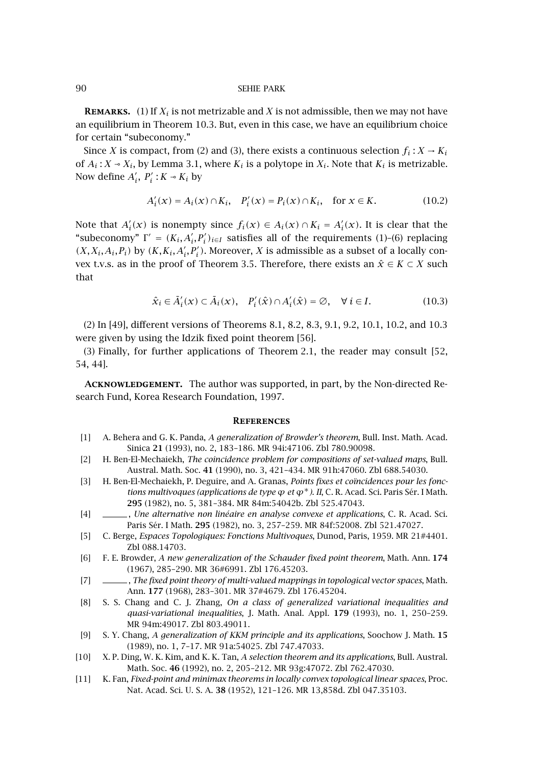<span id="page-17-0"></span>**REMARKS.** (1) If  $X_i$  is not metrizable and  $X$  is not admissible, then we may not have an equilibrium in [Theorem 10.3.](#page-16-0) But, even in this case, we have an equilibrium choice for certain "subeconomy."

Since *X* is compact, from (2) and (3), there exists a continuous selection  $f_i: X \to K_i$ of  $A_i$ :  $X \sim X_i$ , by [Lemma 3.1,](#page-3-0) where  $K_i$  is a polytope in  $X_i$ . Note that  $K_i$  is metrizable. Now define  $A'_i$ ,  $P'_i$  :  $K \sim K_i$  by

$$
A'_{i}(x) = A_{i}(x) \cap K_{i}, \quad P'_{i}(x) = P_{i}(x) \cap K_{i}, \quad \text{for } x \in K.
$$
 (10.2)

Note that  $A'_i(x)$  is nonempty since  $f_i(x) \in A_i(x) \cap K_i = A'_i(x)$ . It is clear that the "subeconomy"  $\Gamma' = (K_i, A'_i, P'_i)_{i \in I}$  satisfies all of the requirements (1)–(6) replacing  $(X, X_i, A_i, P_i)$  by  $(K, K_i, A'_i, P'_i)$ . Moreover, *X* is admissible as a subset of a locally con-vex t.v.s. as in the proof of [Theorem 3.5.](#page-4-0) Therefore, there exists an  $\hat{x} \in K \subset X$  such that

$$
\hat{x}_i \in \bar{A}'_i(x) \subset \bar{A}_i(x), \quad P'_i(\hat{x}) \cap A'_i(\hat{x}) = \varnothing, \quad \forall \ i \in I.
$$
\n(10.3)

(2) In [\[49\]](#page-19-0), different versions of Theorems [8.1,](#page-12-0) [8.2,](#page-13-0) [8.3, 9.1,](#page-14-0) [9.2, 10.1,](#page-15-0) [10.2,](#page-16-0) and [10.3](#page-16-0) were given by using the Idzik fixed point theorem [56].

(3) Finally, for further applications of [Theorem 2.1,](#page-2-0) the reader may consult [\[52,](#page-19-0) [54, 44\]](#page-19-0).

**Acknowledgement.** The author was supported, in part, by the Non-directed Research Fund, Korea Research Foundation, 1997.

#### **References**

- [1] A. Behera and G. K. Panda, *A generalization of Browder's theorem*, Bull. Inst. Math. Acad. Sinica **21** (1993), no. 2, 183–186. [MR 94i:47106.](http://www.ams.org/mathscinet-getitem?mr=94i:47106) [Zbl 780.90098.](http://www.emis.de/cgi-bin/MATH-item?780.90098)
- [2] H. Ben-El-Mechaiekh, *The coincidence problem for compositions of set-valued maps*, Bull. Austral. Math. Soc. **41** (1990), no. 3, 421–434. [MR 91h:47060.](http://www.ams.org/mathscinet-getitem?mr=91h:47060) [Zbl 688.54030.](http://www.emis.de/cgi-bin/MATH-item?688.54030)
- [3] H. Ben-El-Mechaiekh, P. Deguire, and A. Granas, *Points fixes et coïncidences pour les fonctions multivoques (applications de type ϕ et ϕ*∗*). II*, C. R. Acad. Sci. Paris Sér. I Math. **295** (1982), no. 5, 381–384. [MR 84m:54042b.](http://www.ams.org/mathscinet-getitem?mr=84m:54042b) [Zbl 525.47043.](http://www.emis.de/cgi-bin/MATH-item?525.47043)
- [4] , *Une alternative non linéaire en analyse convexe et applications*, C. R. Acad. Sci. Paris Sér. I Math. **295** (1982), no. 3, 257–259. [MR 84f:52008.](http://www.ams.org/mathscinet-getitem?mr=84f:52008) [Zbl 521.47027.](http://www.emis.de/cgi-bin/MATH-item?521.47027)
- [5] C. Berge, *Espaces Topologiques: Fonctions Multivoques*, Dunod, Paris, 1959. [MR 21#4401.](http://www.ams.org/mathscinet-getitem?mr=21:4401) [Zbl 088.14703.](http://www.emis.de/cgi-bin/MATH-item?088.14703)
- [6] F. E. Browder, *A new generalization of the Schauder fixed point theorem*, Math. Ann. **174** (1967), 285–290. [MR 36#6991.](http://www.ams.org/mathscinet-getitem?mr=36:6991) [Zbl 176.45203.](http://www.emis.de/cgi-bin/MATH-item?176.45203)
- [7] , *The fixed point theory of multi-valued mappings in topological vector spaces*, Math. Ann. **177** (1968), 283–301. [MR 37#4679.](http://www.ams.org/mathscinet-getitem?mr=37:4679) [Zbl 176.45204.](http://www.emis.de/cgi-bin/MATH-item?176.45204)
- [8] S. S. Chang and C. J. Zhang, *On a class of generalized variational inequalities and quasi-variational inequalities*, J. Math. Anal. Appl. **179** (1993), no. 1, 250–259. [MR 94m:49017.](http://www.ams.org/mathscinet-getitem?mr=94m:49017) [Zbl 803.49011.](http://www.emis.de/cgi-bin/MATH-item?803.49011)
- [9] S. Y. Chang, *A generalization of KKM principle and its applications*, Soochow J. Math. **15** (1989), no. 1, 7–17. [MR 91a:54025.](http://www.ams.org/mathscinet-getitem?mr=91a:54025) [Zbl 747.47033.](http://www.emis.de/cgi-bin/MATH-item?747.47033)
- [10] X. P. Ding, W. K. Kim, and K. K. Tan, *A selection theorem and its applications*, Bull. Austral. Math. Soc. **46** (1992), no. 2, 205–212. [MR 93g:47072.](http://www.ams.org/mathscinet-getitem?mr=93g:47072) [Zbl 762.47030.](http://www.emis.de/cgi-bin/MATH-item?762.47030)
- [11] K. Fan, *Fixed-point and minimax theorems in locally convex topological linear spaces*, Proc. Nat. Acad. Sci. U. S. A. **38** (1952), 121–126. [MR 13,858d.](http://www.ams.org/mathscinet-getitem?mr=13:858d) [Zbl 047.35103.](http://www.emis.de/cgi-bin/MATH-item?047.35103)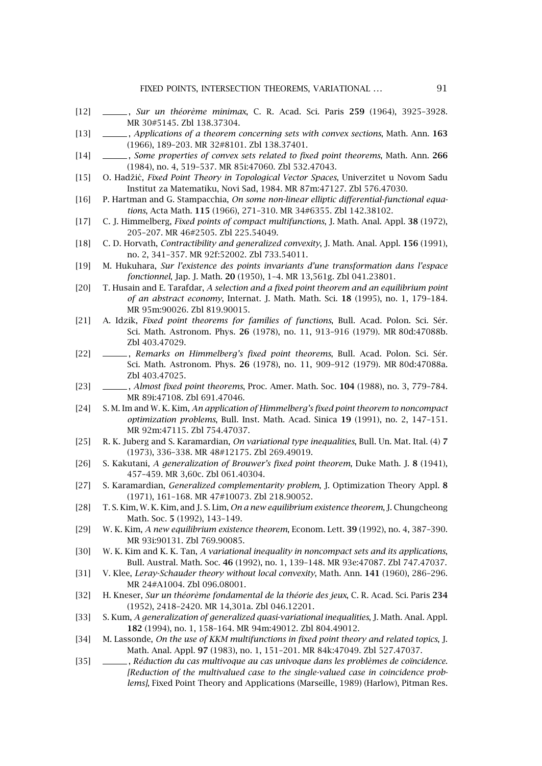- <span id="page-18-0"></span>[12] , *Sur un théorème minimax*, C. R. Acad. Sci. Paris **259** (1964), 3925–3928. [MR 30#5145.](http://www.ams.org/mathscinet-getitem?mr=30:5145) [Zbl 138.37304.](http://www.emis.de/cgi-bin/MATH-item?138.37304)
- [13] , *Applications of a theorem concerning sets with convex sections*, Math. Ann. **163** (1966), 189–203. [MR 32#8101.](http://www.ams.org/mathscinet-getitem?mr=32:8101) [Zbl 138.37401.](http://www.emis.de/cgi-bin/MATH-item?138.37401)
- [14] , *Some properties of convex sets related to fixed point theorems*, Math. Ann. **266** (1984), no. 4, 519–537. [MR 85i:47060.](http://www.ams.org/mathscinet-getitem?mr=85i:47060) [Zbl 532.47043.](http://www.emis.de/cgi-bin/MATH-item?532.47043)
- [15] O. Hadži´c, *Fixed Point Theory in Topological Vector Spaces*, Univerzitet u Novom Sadu Institut za Matematiku, Novi Sad, 1984. [MR 87m:47127.](http://www.ams.org/mathscinet-getitem?mr=87m:47127) [Zbl 576.47030.](http://www.emis.de/cgi-bin/MATH-item?576.47030)
- [16] P. Hartman and G. Stampacchia, *On some non-linear elliptic differential-functional equations*, Acta Math. **115** (1966), 271–310. [MR 34#6355.](http://www.ams.org/mathscinet-getitem?mr=34:6355) [Zbl 142.38102.](http://www.emis.de/cgi-bin/MATH-item?142.38102)
- [17] C. J. Himmelberg, *Fixed points of compact multifunctions*, J. Math. Anal. Appl. **38** (1972), 205–207. [MR 46#2505.](http://www.ams.org/mathscinet-getitem?mr=46:2505) [Zbl 225.54049.](http://www.emis.de/cgi-bin/MATH-item?225.54049)
- [18] C. D. Horvath, *Contractibility and generalized convexity*, J. Math. Anal. Appl. **156** (1991), no. 2, 341–357. [MR 92f:52002.](http://www.ams.org/mathscinet-getitem?mr=92f:52002) [Zbl 733.54011.](http://www.emis.de/cgi-bin/MATH-item?733.54011)
- [19] M. Hukuhara, *Sur l'existence des points invariants d'une transformation dans l'espace fonctionnel*, Jap. J. Math. **20** (1950), 1–4. [MR 13,561g.](http://www.ams.org/mathscinet-getitem?mr=13:561g) [Zbl 041.23801.](http://www.emis.de/cgi-bin/MATH-item?041.23801)
- [20] T. Husain and E. Tarafdar, *A selection and a fixed point theorem and an equilibrium point of an abstract economy*, Internat. J. Math. Math. Sci. **18** (1995), no. 1, 179–184. [MR 95m:90026.](http://www.ams.org/mathscinet-getitem?mr=95m:90026) [Zbl 819.90015.](http://www.emis.de/cgi-bin/MATH-item?819.90015)
- [21] A. Idzik, *Fixed point theorems for families of functions*, Bull. Acad. Polon. Sci. Sér. Sci. Math. Astronom. Phys. **26** (1978), no. 11, 913–916 (1979). [MR 80d:47088b.](http://www.ams.org/mathscinet-getitem?mr=80d:47088b) [Zbl 403.47029.](http://www.emis.de/cgi-bin/MATH-item?403.47029)
- [22] , *Remarks on Himmelberg's fixed point theorems*, Bull. Acad. Polon. Sci. Sér. Sci. Math. Astronom. Phys. **26** (1978), no. 11, 909–912 (1979). [MR 80d:47088a.](http://www.ams.org/mathscinet-getitem?mr=80d:47088a) [Zbl 403.47025.](http://www.emis.de/cgi-bin/MATH-item?403.47025)
- [23] , *Almost fixed point theorems*, Proc. Amer. Math. Soc. **104** (1988), no. 3, 779–784. [MR 89i:47108.](http://www.ams.org/mathscinet-getitem?mr=89i:47108) [Zbl 691.47046.](http://www.emis.de/cgi-bin/MATH-item?691.47046)
- [24] S. M. Im and W. K. Kim, *An application of Himmelberg's fixed point theorem to noncompact optimization problems*, Bull. Inst. Math. Acad. Sinica **19** (1991), no. 2, 147–151. [MR 92m:47115.](http://www.ams.org/mathscinet-getitem?mr=92m:47115) [Zbl 754.47037.](http://www.emis.de/cgi-bin/MATH-item?754.47037)
- [25] R. K. Juberg and S. Karamardian, *On variational type inequalities*, Bull. Un. Mat. Ital. (4) **7** (1973), 336–338. [MR 48#12175.](http://www.ams.org/mathscinet-getitem?mr=48:12175) [Zbl 269.49019.](http://www.emis.de/cgi-bin/MATH-item?269.49019)
- [26] S. Kakutani, *A generalization of Brouwer's fixed point theorem*, Duke Math. J. **8** (1941), 457–459. [MR 3,60c.](http://www.ams.org/mathscinet-getitem?mr=3:60c) [Zbl 061.40304.](http://www.emis.de/cgi-bin/MATH-item?061.40304)
- [27] S. Karamardian, *Generalized complementarity problem*, J. Optimization Theory Appl. **8** (1971), 161–168. [MR 47#10073.](http://www.ams.org/mathscinet-getitem?mr=47:10073) [Zbl 218.90052.](http://www.emis.de/cgi-bin/MATH-item?218.90052)
- [28] T. S. Kim, W. K. Kim, and J. S. Lim, *On a new equilibrium existence theorem*, J. Chungcheong Math. Soc. **5** (1992), 143–149.
- [29] W. K. Kim, *A new equilibrium existence theorem*, Econom. Lett. **39** (1992), no. 4, 387–390. [MR 93i:90131.](http://www.ams.org/mathscinet-getitem?mr=93i:90131) [Zbl 769.90085.](http://www.emis.de/cgi-bin/MATH-item?769.90085)
- [30] W. K. Kim and K. K. Tan, *A variational inequality in noncompact sets and its applications*, Bull. Austral. Math. Soc. **46** (1992), no. 1, 139–148. [MR 93e:47087.](http://www.ams.org/mathscinet-getitem?mr=93e:47087) [Zbl 747.47037.](http://www.emis.de/cgi-bin/MATH-item?747.47037)
- [31] V. Klee, *Leray-Schauder theory without local convexity*, Math. Ann. **141** (1960), 286–296. [MR 24#A1004.](http://www.ams.org/mathscinet-getitem?mr=24:A1004) [Zbl 096.08001.](http://www.emis.de/cgi-bin/MATH-item?096.08001)
- [32] H. Kneser, *Sur un théorème fondamental de la théorie des jeux*, C. R. Acad. Sci. Paris **234** (1952), 2418–2420. [MR 14,301a.](http://www.ams.org/mathscinet-getitem?mr=14:301a) [Zbl 046.12201.](http://www.emis.de/cgi-bin/MATH-item?046.12201)
- [33] S. Kum, *A generalization of generalized quasi-variational inequalities*, J. Math. Anal. Appl. **182** (1994), no. 1, 158–164. [MR 94m:49012.](http://www.ams.org/mathscinet-getitem?mr=94m:49012) [Zbl 804.49012.](http://www.emis.de/cgi-bin/MATH-item?804.49012)
- [34] M. Lassonde, *On the use of KKM multifunctions in fixed point theory and related topics*, J. Math. Anal. Appl. **97** (1983), no. 1, 151–201. [MR 84k:47049.](http://www.ams.org/mathscinet-getitem?mr=84k:47049) [Zbl 527.47037.](http://www.emis.de/cgi-bin/MATH-item?527.47037)
- [35] , *Réduction du cas multivoque au cas univoque dans les problèmes de coïncidence. [Reduction of the multivalued case to the single-valued case in coincidence problems]*, Fixed Point Theory and Applications (Marseille, 1989) (Harlow), Pitman Res.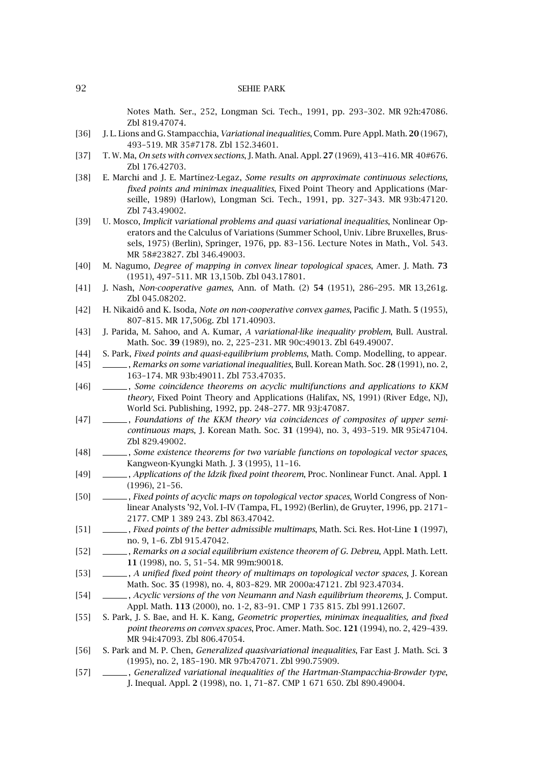Notes Math. Ser., 252, Longman Sci. Tech., 1991, pp. 293–302. [MR 92h:47086.](http://www.ams.org/mathscinet-getitem?mr=92h:47086) [Zbl 819.47074.](http://www.emis.de/cgi-bin/MATH-item?819.47074)

- <span id="page-19-0"></span>[36] J. L. Lions and G. Stampacchia, *Variational inequalities*, Comm. Pure Appl. Math. **20** (1967), 493–519. [MR 35#7178.](http://www.ams.org/mathscinet-getitem?mr=35:7178) [Zbl 152.34601.](http://www.emis.de/cgi-bin/MATH-item?152.34601)
- [37] T. W. Ma, *On sets with convex sections*, J. Math. Anal. Appl. **27** (1969), 413–416. [MR 40#676.](http://www.ams.org/mathscinet-getitem?mr=40:676) [Zbl 176.42703.](http://www.emis.de/cgi-bin/MATH-item?176.42703)
- [38] E. Marchi and J. E. Martínez-Legaz, *Some results on approximate continuous selections, fixed points and minimax inequalities*, Fixed Point Theory and Applications (Marseille, 1989) (Harlow), Longman Sci. Tech., 1991, pp. 327–343. [MR 93b:47120.](http://www.ams.org/mathscinet-getitem?mr=93b:47120) [Zbl 743.49002.](http://www.emis.de/cgi-bin/MATH-item?743.49002)
- [39] U. Mosco, *Implicit variational problems and quasi variational inequalities*, Nonlinear Operators and the Calculus of Variations (Summer School, Univ. Libre Bruxelles, Brussels, 1975) (Berlin), Springer, 1976, pp. 83–156. Lecture Notes in Math., Vol. 543. [MR 58#23827.](http://www.ams.org/mathscinet-getitem?mr=58:23827) [Zbl 346.49003.](http://www.emis.de/cgi-bin/MATH-item?346.49003)
- [40] M. Nagumo, *Degree of mapping in convex linear topological spaces*, Amer. J. Math. **73** (1951), 497–511. [MR 13,150b.](http://www.ams.org/mathscinet-getitem?mr=13:150b) [Zbl 043.17801.](http://www.emis.de/cgi-bin/MATH-item?043.17801)
- [41] J. Nash, *Non-cooperative games*, Ann. of Math. (2) **54** (1951), 286–295. [MR 13,261g.](http://www.ams.org/mathscinet-getitem?mr=13:261g) [Zbl 045.08202.](http://www.emis.de/cgi-bin/MATH-item?045.08202)
- [42] H. Nikaidô and K. Isoda, *Note on non-cooperative convex games*, Pacific J. Math. **5** (1955), 807–815. [MR 17,506g.](http://www.ams.org/mathscinet-getitem?mr=17:506g) [Zbl 171.40903.](http://www.emis.de/cgi-bin/MATH-item?171.40903)
- [43] J. Parida, M. Sahoo, and A. Kumar, *A variational-like inequality problem*, Bull. Austral. Math. Soc. **39** (1989), no. 2, 225–231. [MR 90c:49013.](http://www.ams.org/mathscinet-getitem?mr=90c:49013) [Zbl 649.49007.](http://www.emis.de/cgi-bin/MATH-item?649.49007)
- [44] S. Park, *Fixed points and quasi-equilibrium problems*, Math. Comp. Modelling, to appear.
- [45] , *Remarks on some variational inequalities*, Bull. Korean Math. Soc. **28** (1991), no. 2, 163–174. [MR 93b:49011.](http://www.ams.org/mathscinet-getitem?mr=93b:49011) [Zbl 753.47035.](http://www.emis.de/cgi-bin/MATH-item?753.47035)
- [46] , *Some coincidence theorems on acyclic multifunctions and applications to KKM theory*, Fixed Point Theory and Applications (Halifax, NS, 1991) (River Edge, NJ), World Sci. Publishing, 1992, pp. 248–277. [MR 93j:47087.](http://www.ams.org/mathscinet-getitem?mr=93j:47087)
- [47]  $\Box$ , *Foundations of the KKM theory via coincidences of composites of upper semicontinuous maps*, J. Korean Math. Soc. **31** (1994), no. 3, 493–519. [MR 95i:47104.](http://www.ams.org/mathscinet-getitem?mr=95i:47104) [Zbl 829.49002.](http://www.emis.de/cgi-bin/MATH-item?829.49002)
- [48] , *Some existence theorems for two variable functions on topological vector spaces*, Kangweon-Kyungki Math. J. **3** (1995), 11–16.
- [49] , *Applications of the Idzik fixed point theorem*, Proc. Nonlinear Funct. Anal. Appl. **1** (1996), 21–56.
- [50] , *Fixed points of acyclic maps on topological vector spaces*, World Congress of Nonlinear Analysts '92, Vol. I–IV (Tampa, FL, 1992) (Berlin), de Gruyter, 1996, pp. 2171– 2177. [CMP 1 389 243.](http://www.ams.org/mathscinet-getitem?mr=1+389+243) [Zbl 863.47042.](http://www.emis.de/cgi-bin/MATH-item?863.47042)
- [51] , *Fixed points of the better admissible multimaps*, Math. Sci. Res. Hot-Line **1** (1997), no. 9, 1–6. [Zbl 915.47042.](http://www.emis.de/cgi-bin/MATH-item?915.47042)
- [52] , *Remarks on a social equilibrium existence theorem of G. Debreu*, Appl. Math. Lett. **11** (1998), no. 5, 51–54. [MR 99m:90018.](http://www.ams.org/mathscinet-getitem?mr=99m:90018)
- [53] , *A unified fixed point theory of multimaps on topological vector spaces*, J. Korean Math. Soc. **35** (1998), no. 4, 803–829. [MR 2000a:47121.](http://www.ams.org/mathscinet-getitem?mr=2000a:47121) [Zbl 923.47034.](http://www.emis.de/cgi-bin/MATH-item?923.47034)
- [54] , *Acyclic versions of the von Neumann and Nash equilibrium theorems*, J. Comput. Appl. Math. **113** (2000), no. 1-2, 83–91. [CMP 1 735 815.](http://www.ams.org/mathscinet-getitem?mr=1+735+815) [Zbl 991.12607.](http://www.emis.de/cgi-bin/MATH-item?991.12607)
- [55] S. Park, J. S. Bae, and H. K. Kang, *Geometric properties, minimax inequalities, and fixed point theorems on convex spaces*, Proc. Amer. Math. Soc. **121** (1994), no. 2, 429–439. [MR 94i:47093.](http://www.ams.org/mathscinet-getitem?mr=94i:47093) [Zbl 806.47054.](http://www.emis.de/cgi-bin/MATH-item?806.47054)
- [56] S. Park and M. P. Chen, *Generalized quasivariational inequalities*, Far East J. Math. Sci. **3** (1995), no. 2, 185–190. [MR 97b:47071.](http://www.ams.org/mathscinet-getitem?mr=97b:47071) [Zbl 990.75909.](http://www.emis.de/cgi-bin/MATH-item?990.75909)
- [57] , *Generalized variational inequalities of the Hartman-Stampacchia-Browder type*, J. Inequal. Appl. **2** (1998), no. 1, 71–87. [CMP 1 671 650.](http://www.ams.org/mathscinet-getitem?mr=1+671+650) [Zbl 890.49004.](http://www.emis.de/cgi-bin/MATH-item?890.49004)